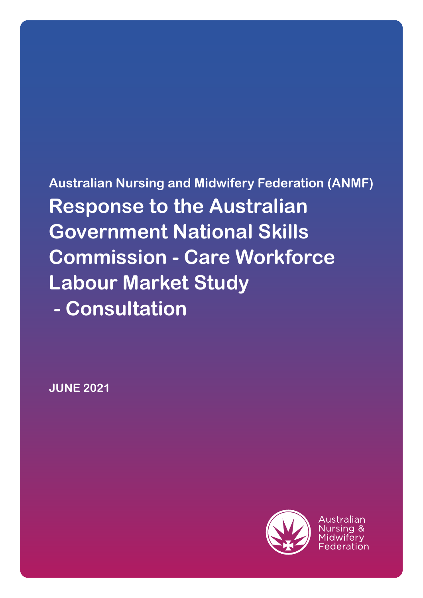**Australian Nursing and Midwifery Federation (ANMF) Response to the Australian Government National Skills Commission - Care Workforce Labour Market Study - Consultation**

**JUNE 2021**

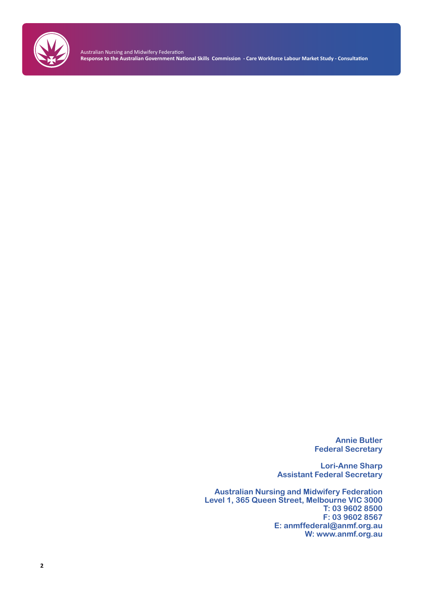

Australian Nursing and Midwifery Federation **Response to the Australian Government National Skills Commission - Care Workforce Labour Market Study - Consultation** 

> **Annie Butler Federal Secretary**

**Lori-Anne Sharp Assistant Federal Secretary**

**Australian Nursing and Midwifery Federation Level 1, 365 Queen Street, Melbourne VIC 3000 T: 03 9602 8500 F: 03 9602 8567 E: anmffederal@anmf.org.au W: www.anmf.org.au**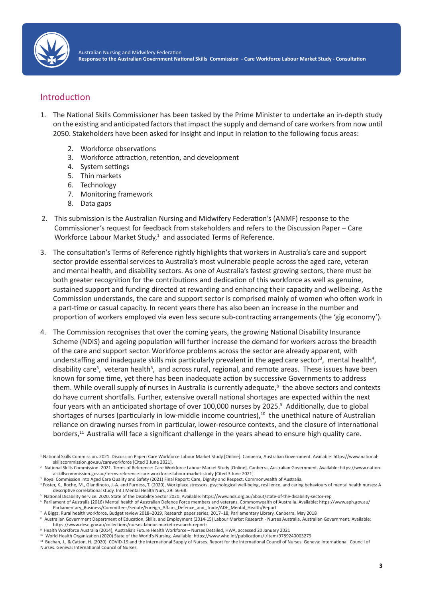

# Introduction

- 1. The National Skills Commissioner has been tasked by the Prime Minister to undertake an in-depth study on the existing and anticipated factors that impact the supply and demand of care workers from now until 2050. Stakeholders have been asked for insight and input in relation to the following focus areas:
	- 2. Workforce observations
	- 3. Workforce attraction, retention, and development
	- 4. System settings
	- 5. Thin markets
	- 6. Technology
	- 7. Monitoring framework
	- 8. Data gaps
- 2. This submission is the Australian Nursing and Midwifery Federation's (ANMF) response to the Commissioner's request for feedback from stakeholders and refers to the Discussion Paper – Care Workforce Labour Market Study, $1$  and associated Terms of Reference.
- 3. The consultation's Terms of Reference rightly highlights that workers in Australia's care and support sector provide essential services to Australia's most vulnerable people across the aged care, veteran and mental health, and disability sectors. As one of Australia's fastest growing sectors, there must be both greater recognition for the contributions and dedication of this workforce as well as genuine, sustained support and funding directed at rewarding and enhancing their capacity and wellbeing. As the Commission understands, the care and support sector is comprised mainly of women who often work in a part-time or casual capacity. In recent years there has also been an increase in the number and proportion of workers employed via even less secure sub-contracting arrangements (the 'gig economy').
- 4. The Commission recognises that over the coming years, the growing National Disability Insurance Scheme (NDIS) and ageing population will further increase the demand for workers across the breadth of the care and support sector. Workforce problems across the sector are already apparent, with understaffing and inadequate skills mix particularly prevalent in the aged care sector<sup>3</sup>, mental health<sup>4</sup>, disability care<sup>5</sup>, veteran health<sup>6</sup>, and across rural, regional, and remote areas. These issues have been known for some time, yet there has been inadequate action by successive Governments to address them. While overall supply of nurses in Australia is currently adequate,<sup>8</sup> the above sectors and contexts do have current shortfalls. Further, extensive overall national shortages are expected within the next four years with an anticipated shortage of over 100,000 nurses by 2025.<sup>9</sup> Additionally, due to global shortages of nurses (particularly in low-middle income countries),<sup>10</sup> the unethical nature of Australian reliance on drawing nurses from in particular, lower-resource contexts, and the closure of international borders,<sup>11</sup> Australia will face a significant challenge in the years ahead to ensure high quality care.

<sup>1</sup> National Skills Commission. 2021. Discussion Paper: Care Workforce Labour Market Study [Online]. Canberra, Australian Government. Available: https://www.nationalskillscommission.gov.au/careworkforce [Cited 3 June 2021].

<sup>&</sup>lt;sup>2</sup> National Skills Commission. 2021. Terms of Reference: Care Workforce Labour Market Study [Online]. Canberra, Australian Government. Available: https://www.nationalskillscommission.gov.au/terms-reference-care-workforce-labour-market-study [Cited 3 June 2021].

<sup>&</sup>lt;sup>3</sup> Royal Commission into Aged Care Quality and Safety (2021) Final Report: Care, Dignity and Respect. Commonwealth of Australia.

<sup>4</sup>Foster, K., Roche, M., Giandinoto, J.-A. and Furness, T. (2020), Workplace stressors, psychological well-being, resilience, and caring behaviours of mental health nurses: A descriptive correlational study. Int J Mental Health Nurs, 29: 56-68.

<sup>5</sup> National Disability Service. 2020. State of the Disability Sector 2020. Available: https://www.nds.org.au/about/state-of-the-disability-sector-rep <sup>6</sup> Parliament of Australia (2016) Mental health of Australian Defence Force members and veterans. Commonwealth of Australia. Available: https://www.aph.gov.au/ Parliamentary\_Business/Committees/Senate/Foreign\_Affairs\_Defence\_and\_Trade/ADF\_Mental\_Health/Report

<sup>7</sup> A Biggs, Rural health workforce, Budget review 2018–2019, Research paper series, 2017–18, Parliamentary Library, Canberra, May 2018

<sup>&</sup>lt;sup>8</sup> Australian Government Department of Education, Skills, and Employment (2014-15) Labour Market Research - Nurses Australia. Australian Government. Available: https://www.dese.gov.au/collections/nurses-labour-market-research-reports

<sup>9</sup> Health Workforce Australia (2014), Australia's Future Health Workforce – Nurses Detailed, HWA, accessed 20 January 2021

<sup>10</sup> World Health Organization (2020) State of the World's Nursing. Available: https://www.who.int/publications/i/item/9789240003279

<sup>11</sup> Buchan, J., & Catton, H. (2020). COVID-19 and the International Supply of Nurses. Report for the International Council of Nurses. Geneva: International Council of Nurses. Geneva: International Council of Nurses.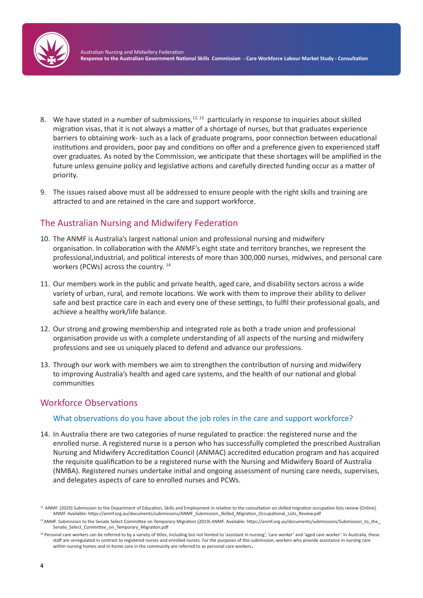

- 8. We have stated in a number of submissions, $12, 13$  particularly in response to inquiries about skilled migration visas, that it is not always a matter of a shortage of nurses, but that graduates experience barriers to obtaining work- such as a lack of graduate programs, poor connection between educational institutions and providers, poor pay and conditions on offer and a preference given to experienced staff over graduates. As noted by the Commission, we anticipate that these shortages will be amplified in the future unless genuine policy and legislative actions and carefully directed funding occur as a matter of priority.
- 9. The issues raised above must all be addressed to ensure people with the right skills and training are attracted to and are retained in the care and support workforce.

# The Australian Nursing and Midwifery Federation

- 10. The ANMF is Australia's largest national union and professional nursing and midwifery organisation. In collaboration with the ANMF's eight state and territory branches, we represent the professional,industrial, and political interests of more than 300,000 nurses, midwives, and personal care workers (PCWs) across the country. <sup>14</sup>
- 11. Our members work in the public and private health, aged care, and disability sectors across a wide variety of urban, rural, and remote locations. We work with them to improve their ability to deliver safe and best practice care in each and every one of these settings, to fulfil their professional goals, and achieve a healthy work/life balance.
- 12. Our strong and growing membership and integrated role as both a trade union and professional organisation provide us with a complete understanding of all aspects of the nursing and midwifery professions and see us uniquely placed to defend and advance our professions.
- 13. Through our work with members we aim to strengthen the contribution of nursing and midwifery to improving Australia's health and aged care systems, and the health of our national and global communities

# Workforce Observations

#### What observations do you have about the job roles in the care and support workforce?

14. In Australia there are two categories of nurse regulated to practice: the registered nurse and the enrolled nurse. A registered nurse is a person who has successfully completed the prescribed Australian Nursing and Midwifery Accreditation Council (ANMAC) accredited education program and has acquired the requisite qualification to be a registered nurse with the Nursing and Midwifery Board of Australia (NMBA). Registered nurses undertake initial and ongoing assessment of nursing care needs, supervises, and delegates aspects of care to enrolled nurses and PCWs.

<sup>&</sup>lt;sup>12</sup> ANMF. (2020) Submission to the Department of Education, Skills and Employment in relation to the consultation on skilled migration occupation lists review [Online]. ANMF. Available: https://anmf.org.au/documents/submissions/ANMF\_Submission\_Skilled\_Migration\_Occupational\_Lists\_Review.pdf

<sup>13</sup> ANMF. Submission to the Senate Select Committee on Temporary Migration (2019) ANMF. Available: https://anmf.org.au/documents/submissions/Submission\_to\_the\_ Senate\_Select\_Committee\_on\_Temporary\_Migration.pdf

<sup>&</sup>lt;sup>14</sup> Personal care workers can be referred to by a variety of titles, including but not limited to 'assistant in nursing', 'care worker' and 'aged care worker'. In Australia, these staff are unregulated in contrast to registered nurses and enrolled nurses. For the purposes of this submission, workers who provide assistance in nursing care within nursing homes and in-home care in the community are referred to as personal care workers.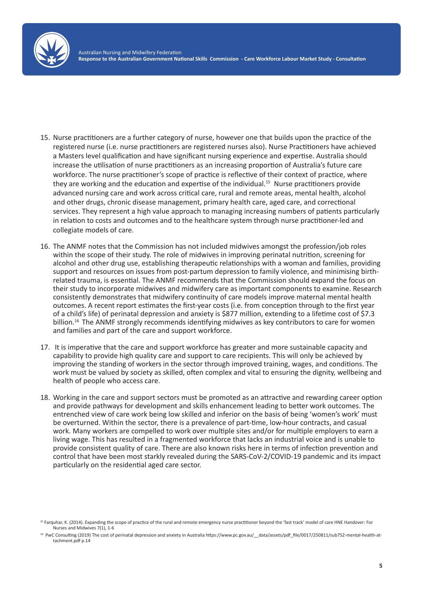

- 15. Nurse practitioners are a further category of nurse, however one that builds upon the practice of the registered nurse (i.e. nurse practitioners are registered nurses also). Nurse Practitioners have achieved a Masters level qualification and have significant nursing experience and expertise. Australia should increase the utilisation of nurse practitioners as an increasing proportion of Australia's future care workforce. The nurse practitioner's scope of practice is reflective of their context of practice, where they are working and the education and expertise of the individual.<sup>15</sup> Nurse practitioners provide advanced nursing care and work across critical care, rural and remote areas, mental health, alcohol and other drugs, chronic disease management, primary health care, aged care, and correctional services. They represent a high value approach to managing increasing numbers of patients particularly in relation to costs and outcomes and to the healthcare system through nurse practitioner-led and collegiate models of care.
- 16. The ANMF notes that the Commission has not included midwives amongst the profession/job roles within the scope of their study. The role of midwives in improving perinatal nutrition, screening for alcohol and other drug use, establishing therapeutic relationships with a woman and families, providing support and resources on issues from post-partum depression to family violence, and minimising birthrelated trauma, is essential. The ANMF recommends that the Commission should expand the focus on their study to incorporate midwives and midwifery care as important components to examine. Research consistently demonstrates that midwifery continuity of care models improve maternal mental health outcomes. A recent report estimates the first-year costs (i.e. from conception through to the first year of a child's life) of perinatal depression and anxiety is \$877 million, extending to a lifetime cost of \$7.3 billion.<sup>16</sup> The ANMF strongly recommends identifying midwives as key contributors to care for women and families and part of the care and support workforce.
- 17. It is imperative that the care and support workforce has greater and more sustainable capacity and capability to provide high quality care and support to care recipients. This will only be achieved by improving the standing of workers in the sector through improved training, wages, and conditions. The work must be valued by society as skilled, often complex and vital to ensuring the dignity, wellbeing and health of people who access care.
- 18. Working in the care and support sectors must be promoted as an attractive and rewarding career option and provide pathways for development and skills enhancement leading to better work outcomes. The entrenched view of care work being low skilled and inferior on the basis of being 'women's work' must be overturned. Within the sector, there is a prevalence of part-time, low-hour contracts, and casual work. Many workers are compelled to work over multiple sites and/or for multiple employers to earn a living wage. This has resulted in a fragmented workforce that lacks an industrial voice and is unable to provide consistent quality of care. There are also known risks here in terms of infection prevention and control that have been most starkly revealed during the SARS-CoV-2/COVID-19 pandemic and its impact particularly on the residential aged care sector.

<sup>&</sup>lt;sup>15</sup> Farquhar, K. (2014). Expanding the scope of practice of the rural and remote emergency nurse practitioner beyond the 'fast track' model of care HNE Handover: For Nurses and Midwives 7(1), 1-6

<sup>&</sup>lt;sup>16</sup> PwC Consulting (2019) The cost of perinatal depression and anxiety in Australia https://www.pc.gov.au/\_\_data/assets/pdf\_file/0017/250811/sub752-mental-health-attachment.pdf p.14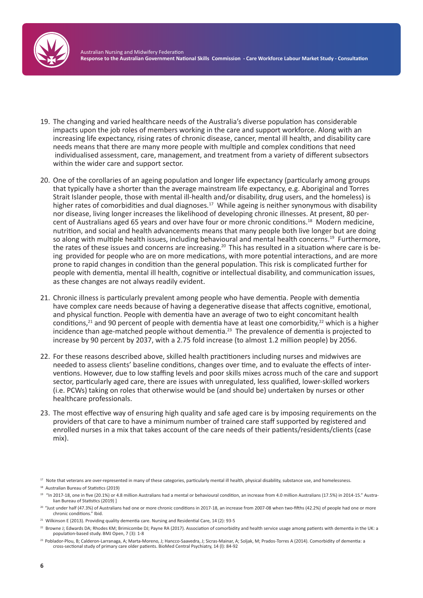

- 19. The changing and varied healthcare needs of the Australia's diverse population has considerable impacts upon the job roles of members working in the care and support workforce. Along with an increasing life expectancy, rising rates of chronic disease, cancer, mental ill health, and disability care needs means that there are many more people with multiple and complex conditions that need individualised assessment, care, management, and treatment from a variety of different subsectors within the wider care and support sector.
- 20. One of the corollaries of an ageing population and longer life expectancy (particularly among groups that typically have a shorter than the average mainstream life expectancy, e.g. Aboriginal and Torres Strait Islander people, those with mental ill-health and/or disability, drug users, and the homeless) is higher rates of comorbidities and dual diagnoses.<sup>17</sup> While ageing is neither synonymous with disability nor disease, living longer increases the likelihood of developing chronic illnesses. At present, 80 percent of Australians aged 65 years and over have four or more chronic conditions.<sup>18</sup> Modern medicine, nutrition, and social and health advancements means that many people both live longer but are doing so along with multiple health issues, including behavioural and mental health concerns.<sup>19</sup> Furthermore, the rates of these issues and concerns are increasing.<sup>20</sup> This has resulted in a situation where care is being provided for people who are on more medications, with more potential interactions, and are more prone to rapid changes in condition than the general population. This risk is complicated further for people with dementia, mental ill health, cognitive or intellectual disability, and communication issues, as these changes are not always readily evident.
- 21. Chronic illness is particularly prevalent among people who have dementia. People with dementia have complex care needs because of having a degenerative disease that affects cognitive, emotional, and physical function. People with dementia have an average of two to eight concomitant health conditions,<sup>21</sup> and 90 percent of people with dementia have at least one comorbidity,<sup>22</sup> which is a higher incidence than age-matched people without dementia.<sup>23</sup> The prevalence of dementia is projected to increase by 90 percent by 2037, with a 2.75 fold increase (to almost 1.2 million people) by 2056.
- 22. For these reasons described above, skilled health practitioners including nurses and midwives are needed to assess clients' baseline conditions, changes over time, and to evaluate the effects of interventions. However, due to low staffing levels and poor skills mixes across much of the care and support sector, particularly aged care, there are issues with unregulated, less qualified, lower-skilled workers (i.e. PCWs) taking on roles that otherwise would be (and should be) undertaken by nurses or other healthcare professionals.
- 23. The most effective way of ensuring high quality and safe aged care is by imposing requirements on the providers of that care to have a minimum number of trained care staff supported by registered and enrolled nurses in a mix that takes account of the care needs of their patients/residents/clients (case mix).
- <sup>17</sup> Note that veterans are over-represented in many of these categories, particularly mental ill health, physical disability, substance use, and homelessness.

<sup>21</sup> Wilkinson E (2013). Providing quality dementia care. Nursing and Residential Care, 14 (2): 93-5

<sup>18</sup> Australian Bureau of Statistics (2019)

<sup>19</sup> "In 2017-18, one in five (20.1%) or 4.8 million Australians had a mental or behavioural condition, an increase from 4.0 million Australians (17.5%) in 2014-15." Australian Bureau of Statistics (2019) ]

<sup>&</sup>lt;sup>20</sup> "Just under half (47.3%) of Australians had one or more chronic conditions in 2017-18, an increase from 2007-08 when two-fifths (42.2%) of people had one or more chronic conditions." Ibid.

<sup>&</sup>lt;sup>22</sup> Browne J; Edwards DA; Rhodes KM; Brimicombe DJ; Payne RA (2017). Association of comorbidity and health service usage among patients with dementia in the UK: a population-based study. BMJ Open, 7 (3): 1-8

<sup>&</sup>lt;sup>23</sup> Poblador-Plou, B; Calderon-Larranaga, A; Marta-Moreno, J; Hancco-Saavedra, J; Sicras-Mainar, A; Soljak, M; Prados-Torres A (2014). Comorbidity of dementia: a cross-sectional study of primary care older patients. BioMed Central Psychiatry, 14 (l): 84-92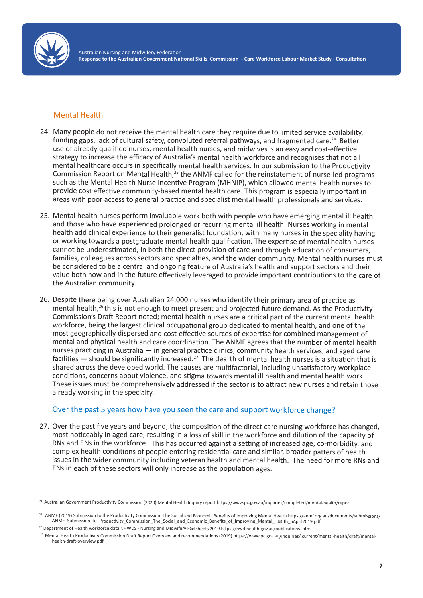

Australian Nursing and Midwifery Federation **Response to the Australian Government National Skills Commission - Care Workforce Labour Market Study - Consultation**

#### Mental Health

- 24. Many people do not receive the mental health care they require due to limited service availability, funding gaps, lack of cultural safety, convoluted referral pathways, and fragmented care.<sup>24</sup> Better use of already qualified nurses, mental health nurses, and midwives is an easy and cost-effective strategy to increase the efficacy of Australia's mental health workforce and recognises that not all mental healthcare occurs in specifically mental health services. In our submission to the Productivity Commission Report on Mental Health,<sup>25</sup> the ANMF called for the reinstatement of nurse-led programs such as the Mental Health Nurse Incentive Program (MHNIP), which allowed mental health nurses to provide cost effective community-based mental health care. This program is especially important in areas with poor access to general practice and specialist mental health professionals and services.
- 25. Mental health nurses perform invaluable work both with people who have emerging mental ill health and those who have experienced prolonged or recurring mental ill health. Nurses working in mental health add clinical experience to their generalist foundation, with many nurses in the speciality having or working towards a postgraduate mental health qualification. The expertise of mental health nurses cannot be underestimated, in both the direct provision of care and through education of consumers, families, colleagues across sectors and specialties, and the wider community. Mental health nurses must be considered to be a central and ongoing feature of Australia's health and support sectors and their value both now and in the future effectively leveraged to provide important contributions to the care of the Australian community.
- 26. Despite there being over Australian 24,000 nurses who identify their primary area of practice as mental health,<sup>26</sup> this is not enough to meet present and projected future demand. As the Productivity Commission's Draft Report noted; mental health nurses are a critical part of the current mental health workforce, being the largest clinical occupational group dedicated to mental health, and one of the most geographically dispersed and cost-effective sources of expertise for combined management of mental and physical health and care coordination. The ANMF agrees that the number of mental health nurses practicing in Australia — in general practice clinics, community health services, and aged care facilities  $-$  should be significantly increased.<sup>27</sup> The dearth of mental health nurses is a situation that is shared across the developed world. The causes are multifactorial, including unsatisfactory workplace conditions, concerns about violence, and stigma towards mental ill health and mental health work. These issues must be comprehensively addressed if the sector is to attract new nurses and retain those already working in the specialty.

## Over the past 5 years how have you seen the care and support workforce change?

27. Over the past five years and beyond, the composition of the direct care nursing workforce has changed, most noticeably in aged care, resulting in a loss of skill in the workforce and dilution of the capacity of RNs and ENs in the workforce. This has occurred against a setting of increased age, co-morbidity, and complex health conditions of people entering residential care and similar, broader patters of health issues in the wider community including veteran health and mental health. The need for more RNs and ENs in each of these sectors will only increase as the population ages.

<sup>24</sup> Australian Government Productivity Commission (2020) Mental Health Inquiry report https://www.pc.gov.au/inquiries/completed/mental-health/report

<sup>&</sup>lt;sup>25</sup> ANMF (2019) Submission to the Productivity Commission: The Social and Economic Benefits of Improving Mental Health https://anmf.org.au/documents/submissions/ ANMF\_Submission\_to\_Productivity\_Commission\_The\_Social\_and\_Economic\_Benefits\_of\_Improving\_Mental\_Health\_5April2019.pdf

<sup>&</sup>lt;sup>26</sup> Department of Health workforce data NHWDS - Nursing and Midwifery Factsheets 2019 https://hwd.health.gov.au/publications. html

<sup>27</sup> Mental Health Productivity Commission Draft Report Overview and recommendations (2019) https://www.pc.gov.au/inquiries/ current/mental-health/draft/mentalhealth-draft-overview.pdf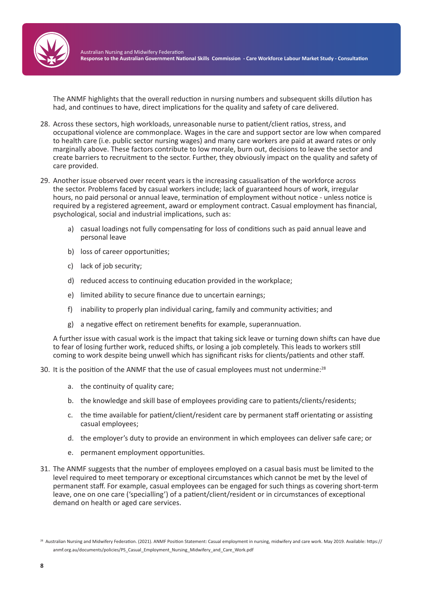

The ANMF highlights that the overall reduction in nursing numbers and subsequent skills dilution has had, and continues to have, direct implications for the quality and safety of care delivered.

- 28. Across these sectors, high workloads, unreasonable nurse to patient/client ratios, stress, and occupational violence are commonplace. Wages in the care and support sector are low when compared to health care (i.e. public sector nursing wages) and many care workers are paid at award rates or only marginally above. These factors contribute to low morale, burn out, decisions to leave the sector and create barriers to recruitment to the sector. Further, they obviously impact on the quality and safety of care provided.
- 29. Another issue observed over recent years is the increasing casualisation of the workforce across the sector. Problems faced by casual workers include; lack of guaranteed hours of work, irregular hours, no paid personal or annual leave, termination of employment without notice - unless notice is required by a registered agreement, award or employment contract. Casual employment has financial, psychological, social and industrial implications, such as:
	- a) casual loadings not fully compensating for loss of conditions such as paid annual leave and personal leave
	- b) loss of career opportunities;
	- c) lack of job security;
	- d) reduced access to continuing education provided in the workplace;
	- e) limited ability to secure finance due to uncertain earnings;
	- f) inability to properly plan individual caring, family and community activities; and
	- g) a negative effect on retirement benefits for example, superannuation.

A further issue with casual work is the impact that taking sick leave or turning down shifts can have due to fear of losing further work, reduced shifts, or losing a job completely. This leads to workers still coming to work despite being unwell which has significant risks for clients/patients and other staff.

30. It is the position of the ANMF that the use of casual employees must not undermine:<sup>28</sup>

- a. the continuity of quality care;
- b. the knowledge and skill base of employees providing care to patients/clients/residents;
- c. the time available for patient/client/resident care by permanent staff orientating or assisting casual employees;
- d. the employer's duty to provide an environment in which employees can deliver safe care; or
- e. permanent employment opportunities.
- 31. The ANMF suggests that the number of employees employed on a casual basis must be limited to the level required to meet temporary or exceptional circumstances which cannot be met by the level of permanent staff. For example, casual employees can be engaged for such things as covering short-term leave, one on one care ('specialling') of a patient/client/resident or in circumstances of exceptional demand on health or aged care services.

<sup>&</sup>lt;sup>28</sup> Australian Nursing and Midwifery Federation. (2021). ANMF Position Statement: Casual employment in nursing, midwifery and care work. May 2019. Available: https:// anmf.org.au/documents/policies/PS\_Casual\_Employment\_Nursing\_Midwifery\_and\_Care\_Work.pdf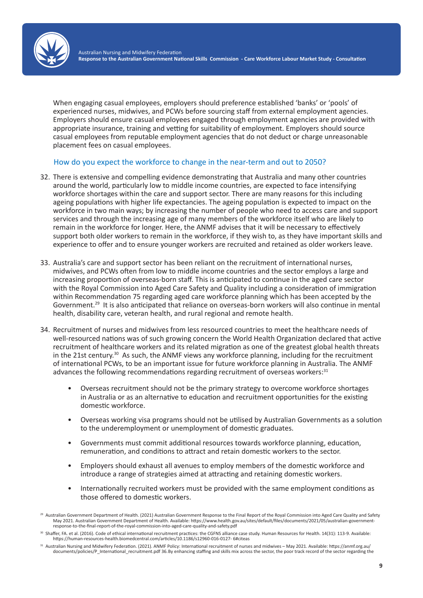

When engaging casual employees, employers should preference established 'banks' or 'pools' of experienced nurses, midwives, and PCWs before sourcing staff from external employment agencies. Employers should ensure casual employees engaged through employment agencies are provided with appropriate insurance, training and vetting for suitability of employment. Employers should source casual employees from reputable employment agencies that do not deduct or charge unreasonable placement fees on casual employees.

### How do you expect the workforce to change in the near-term and out to 2050?

- 32. There is extensive and compelling evidence demonstrating that Australia and many other countries around the world, particularly low to middle income countries, are expected to face intensifying workforce shortages within the care and support sector. There are many reasons for this including ageing populations with higher life expectancies. The ageing population is expected to impact on the workforce in two main ways; by increasing the number of people who need to access care and support services and through the increasing age of many members of the workforce itself who are likely to remain in the workforce for longer. Here, the ANMF advises that it will be necessary to effectively support both older workers to remain in the workforce, if they wish to, as they have important skills and experience to offer and to ensure younger workers are recruited and retained as older workers leave.
- 33. Australia's care and support sector has been reliant on the recruitment of international nurses, midwives, and PCWs often from low to middle income countries and the sector employs a large and increasing proportion of overseas-born staff. This is anticipated to continue in the aged care sector with the Royal Commission into Aged Care Safety and Quality including a consideration of immigration within Recommendation 75 regarding aged care workforce planning which has been accepted by the Government.<sup>29</sup> It is also anticipated that reliance on overseas-born workers will also continue in mental health, disability care, veteran health, and rural regional and remote health.
- 34. Recruitment of nurses and midwives from less resourced countries to meet the healthcare needs of well-resourced nations was of such growing concern the World Health Organization declared that active recruitment of healthcare workers and its related migration as one of the greatest global health threats in the 21st century.<sup>30</sup> As such, the ANMF views any workforce planning, including for the recruitment of international PCWs, to be an important issue for future workforce planning in Australia. The ANMF advances the following recommendations regarding recruitment of overseas workers: $31$ 
	- Overseas recruitment should not be the primary strategy to overcome workforce shortages in Australia or as an alternative to education and recruitment opportunities for the existing domestic workforce.
	- Overseas working visa programs should not be utilised by Australian Governments as a solution to the underemployment or unemployment of domestic graduates.
	- Governments must commit additional resources towards workforce planning, education, remuneration, and conditions to attract and retain domestic workers to the sector.
	- Employers should exhaust all avenues to employ members of the domestic workforce and introduce a range of strategies aimed at attracting and retaining domestic workers.
	- Internationally recruited workers must be provided with the same employment conditions as those offered to domestic workers.

<sup>&</sup>lt;sup>29</sup> Australian Government Department of Health. (2021) Australian Government Response to the Final Report of the Royal Commission into Aged Care Quality and Safety May 2021. Australian Government Department of Health. Available: https://www.health.gov.au/sites/default/files/documents/2021/05/australian-governmentresponse-to-the-final-report-of-the-royal-commission-into-aged-care-quality-and-safety.pdf

<sup>30</sup> Shaffer, FA. et al. (2016). Code of ethical international recruitment practices: the CGFNS alliance case study. Human Resources for Health. 14(31): 113-9. Available: https://human-resources-health.biomedcentral.com/articles/10.1186/s12960-016-0127- 6#citeas

<sup>31</sup> Australian Nursing and Midwifery Federation. (2021). ANMF Policy: International recruitment of nurses and midwives - May 2021. Available: https://anmf.org.au/ documents/policies/P\_International\_recruitment.pdf 36.By enhancing staffing and skills mix across the sector, the poor track record of the sector regarding the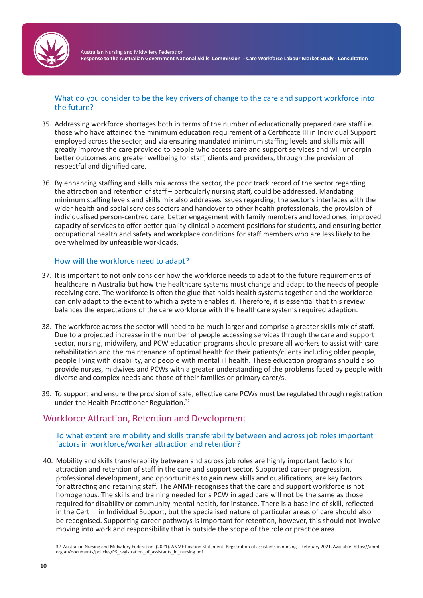

## What do you consider to be the key drivers of change to the care and support workforce into the future?

- 35. Addressing workforce shortages both in terms of the number of educationally prepared care staff i.e. those who have attained the minimum education requirement of a Certificate III in Individual Support employed across the sector, and via ensuring mandated minimum staffing levels and skills mix will greatly improve the care provided to people who access care and support services and will underpin better outcomes and greater wellbeing for staff, clients and providers, through the provision of respectful and dignified care.
- 36. By enhancing staffing and skills mix across the sector, the poor track record of the sector regarding the attraction and retention of staff – particularly nursing staff, could be addressed. Mandating minimum staffing levels and skills mix also addresses issues regarding; the sector's interfaces with the wider health and social services sectors and handover to other health professionals, the provision of individualised person-centred care, better engagement with family members and loved ones, improved capacity of services to offer better quality clinical placement positions for students, and ensuring better occupational health and safety and workplace conditions for staff members who are less likely to be overwhelmed by unfeasible workloads.

### How will the workforce need to adapt?

- 37. It is important to not only consider how the workforce needs to adapt to the future requirements of healthcare in Australia but how the healthcare systems must change and adapt to the needs of people receiving care. The workforce is often the glue that holds health systems together and the workforce can only adapt to the extent to which a system enables it. Therefore, it is essential that this review balances the expectations of the care workforce with the healthcare systems required adaption.
- 38. The workforce across the sector will need to be much larger and comprise a greater skills mix of staff. Due to a projected increase in the number of people accessing services through the care and support sector, nursing, midwifery, and PCW education programs should prepare all workers to assist with care rehabilitation and the maintenance of optimal health for their patients/clients including older people, people living with disability, and people with mental ill health. These education programs should also provide nurses, midwives and PCWs with a greater understanding of the problems faced by people with diverse and complex needs and those of their families or primary carer/s.
- 39. To support and ensure the provision of safe, effective care PCWs must be regulated through registration under the Health Practitioner Regulation.<sup>32</sup>

# Workforce Attraction, Retention and Development

#### To what extent are mobility and skills transferability between and across job roles important factors in workforce/worker attraction and retention?

40. Mobility and skills transferability between and across job roles are highly important factors for attraction and retention of staff in the care and support sector. Supported career progression, professional development, and opportunities to gain new skills and qualifications, are key factors for attracting and retaining staff. The ANMF recognises that the care and support workforce is not homogenous. The skills and training needed for a PCW in aged care will not be the same as those required for disability or community mental health, for instance. There is a baseline of skill, reflected in the Cert III in Individual Support, but the specialised nature of particular areas of care should also be recognised. Supporting career pathways is important for retention, however, this should not involve moving into work and responsibility that is outside the scope of the role or practice area.

<sup>32</sup> Australian Nursing and Midwifery Federation. (2021). ANMF Position Statement: Registration of assistants in nursing – February 2021. Available: https://anmf. org.au/documents/policies/PS\_registration\_of\_assistants\_in\_nursing.pdf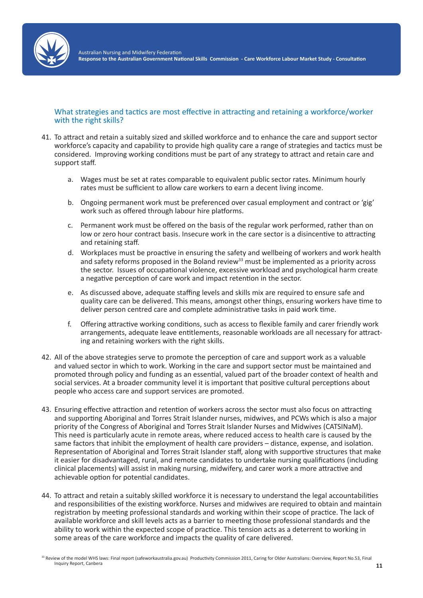

#### What strategies and tactics are most effective in attracting and retaining a workforce/worker with the right skills?

- 41. To attract and retain a suitably sized and skilled workforce and to enhance the care and support sector workforce's capacity and capability to provide high quality care a range of strategies and tactics must be considered. Improving working conditions must be part of any strategy to attract and retain care and support staff.
	- a. Wages must be set at rates comparable to equivalent public sector rates. Minimum hourly rates must be sufficient to allow care workers to earn a decent living income.
	- b. Ongoing permanent work must be preferenced over casual employment and contract or 'gig' work such as offered through labour hire platforms.
	- c. Permanent work must be offered on the basis of the regular work performed, rather than on low or zero hour contract basis. Insecure work in the care sector is a disincentive to attracting and retaining staff.
	- d. Workplaces must be proactive in ensuring the safety and wellbeing of workers and work health and safety reforms proposed in the Boland review<sup>33</sup> must be implemented as a priority across the sector. Issues of occupational violence, excessive workload and psychological harm create a negative perception of care work and impact retention in the sector.
	- e. As discussed above, adequate staffing levels and skills mix are required to ensure safe and quality care can be delivered. This means, amongst other things, ensuring workers have time to deliver person centred care and complete administrative tasks in paid work time.
	- f. Offering attractive working conditions, such as access to flexible family and carer friendly work arrangements, adequate leave entitlements, reasonable workloads are all necessary for attracting and retaining workers with the right skills.
- 42. All of the above strategies serve to promote the perception of care and support work as a valuable and valued sector in which to work. Working in the care and support sector must be maintained and promoted through policy and funding as an essential, valued part of the broader context of health and social services. At a broader community level it is important that positive cultural perceptions about people who access care and support services are promoted.
- 43. Ensuring effective attraction and retention of workers across the sector must also focus on attracting and supporting Aboriginal and Torres Strait Islander nurses, midwives, and PCWs which is also a major priority of the Congress of Aboriginal and Torres Strait Islander Nurses and Midwives (CATSINaM). This need is particularly acute in remote areas, where reduced access to health care is caused by the same factors that inhibit the employment of health care providers – distance, expense, and isolation. Representation of Aboriginal and Torres Strait Islander staff, along with supportive structures that make it easier for disadvantaged, rural, and remote candidates to undertake nursing qualifications (including clinical placements) will assist in making nursing, midwifery, and carer work a more attractive and achievable option for potential candidates.
- 44. To attract and retain a suitably skilled workforce it is necessary to understand the legal accountabilities and responsibilities of the existing workforce. Nurses and midwives are required to obtain and maintain registration by meeting professional standards and working within their scope of practice. The lack of available workforce and skill levels acts as a barrier to meeting those professional standards and the ability to work within the expected scope of practice. This tension acts as a deterrent to working in some areas of the care workforce and impacts the quality of care delivered.

<sup>&</sup>lt;sup>33</sup> Review of the model WHS laws: Final report (safeworkaustralia.gov.au) Productivity Commission 2011, Caring for Older Australians: Overview, Report No.53, Final Inquiry Report, Canbera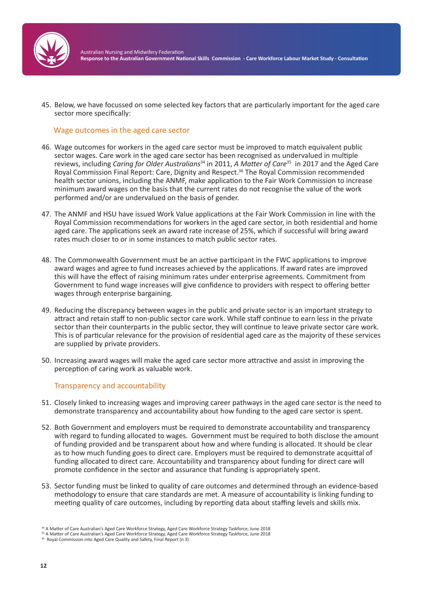

45. Below, we have focussed on some selected key factors that are particularly important for the aged care sector more specifically:

#### Wage outcomes in the aged care sector

- 46. Wage outcomes for workers in the aged care sector must be improved to match equivalent public sector wages. Care work in the aged care sector has been recognised as undervalued in multiple reviews, including *Caring for Older Australians*<sup>34</sup> in 2011, *A Matter of Care*<sup>35</sup> in 2017 and the Aged Care Royal Commission Final Report: Care, Dignity and Respect.<sup>36</sup> The Royal Commission recommended health sector unions, including the ANMF, make application to the Fair Work Commission to increase minimum award wages on the basis that the current rates do not recognise the value of the work performed and/or are undervalued on the basis of gender.
- 47. The ANMF and HSU have issued Work Value applications at the Fair Work Commission in line with the Royal Commission recommendations for workers in the aged care sector, in both residential and home aged care. The applications seek an award rate increase of 25%, which if successful will bring award rates much closer to or in some instances to match public sector rates.
- 48. The Commonwealth Government must be an active participant in the FWC applications to improve award wages and agree to fund increases achieved by the applications. If award rates are improved this will have the effect of raising minimum rates under enterprise agreements. Commitment from Government to fund wage increases will give confidence to providers with respect to offering better wages through enterprise bargaining.
- 49. Reducing the discrepancy between wages in the public and private sector is an important strategy to attract and retain staff to non-public sector care work. While staff continue to earn less in the private sector than their counterparts in the public sector, they will continue to leave private sector care work. This is of particular relevance for the provision of residential aged care as the majority of these services are supplied by private providers.
- 50. Increasing award wages will make the aged care sector more attractive and assist in improving the perception of caring work as valuable work.

#### Transparency and accountability

- 51. Closely linked to increasing wages and improving career pathways in the aged care sector is the need to demonstrate transparency and accountability about how funding to the aged care sector is spent.
- 52. Both Government and employers must be required to demonstrate accountability and transparency with regard to funding allocated to wages. Government must be required to both disclose the amount of funding provided and be transparent about how and where funding is allocated. It should be clear as to how much funding goes to direct care. Employers must be required to demonstrate acquittal of funding allocated to direct care. Accountability and transparency about funding for direct care will promote confidence in the sector and assurance that funding is appropriately spent.
- 53. Sector funding must be linked to quality of care outcomes and determined through an evidence-based methodology to ensure that care standards are met. A measure of accountability is linking funding to meeting quality of care outcomes, including by reporting data about staffing levels and skills mix.

<sup>34</sup> A Matter of Care Australian's Aged Care Workforce Strategy, Aged Care Workforce Strategy Taskforce, June 2018

<sup>35</sup> A Matter of Care Australian's Aged Care Workforce Strategy, Aged Care Workforce Strategy Taskforce, June 2018

<sup>&</sup>lt;sup>36</sup> Royal Commission into Aged Care Quality and Safety, Final Report (n 3)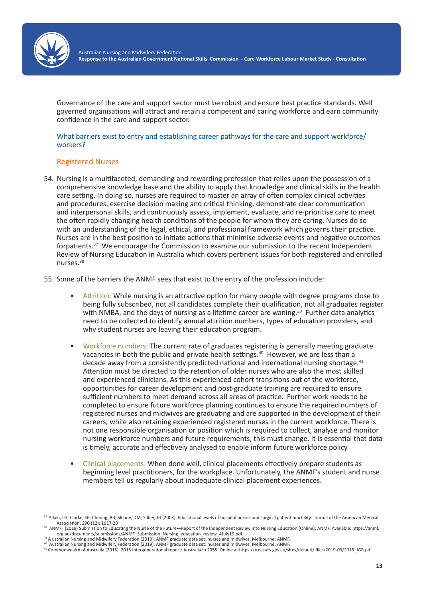

Governance of the care and support sector must be robust and ensure best practice standards. Well governed organisations will attract and retain a competent and caring workforce and earn community confidence in the care and support sector.

What barriers exist to entry and establishing career pathways for the care and support workforce/ workers?

#### Registered Nurses

- 54. Nursing is a multifaceted, demanding and rewarding profession that relies upon the possession of a comprehensive knowledge base and the ability to apply that knowledge and clinical skills in the health care setting. In doing so, nurses are required to master an array of often complex clinical activities and procedures, exercise decision making and critical thinking, demonstrate clear communication and interpersonal skills, and continuously assess, implement, evaluate, and re-prioritise care to meet the often rapidly changing health conditions of the people for whom they are caring. Nurses do so with an understanding of the legal, ethical, and professional framework which governs their practice. Nurses are in the best position to initiate actions that minimise adverse events and negative outcomes forpatients.<sup>37</sup> We encourage the Commission to examine our submission to the recent Independent Review of Nursing Education in Australia which covers pertinent issues for both registered and enrolled nurses.38
- 55. Some of the barriers the ANMF sees that exist to the entry of the profession include:
	- Attrition: While nursing is an attractive option for many people with degree programs close to being fully subscribed, not all candidates complete their qualification, not all graduates register with NMBA, and the days of nursing as a lifetime career are waning. $39$  Further data analytics need to be collected to identify annual attrition numbers, types of education providers, and why student nurses are leaving their education program.
	- Workforce numbers: The current rate of graduates registering is generally meeting graduate vacancies in both the public and private health settings.<sup>40</sup> However, we are less than a decade away from a consistently predicted national and international nursing shortage.<sup>41</sup> Attention must be directed to the retention of older nurses who are also the most skilled and experienced clinicians. As this experienced cohort transitions out of the workforce, opportunities for career development and post-graduate training are required to ensure sufficient numbers to meet demand across all areas of practice. Further work needs to be completed to ensure future workforce planning continues to ensure the required numbers of registered nurses and midwives are graduating and are supported in the development of their careers, while also retaining experienced registered nurses in the current workforce. There is not one responsible organisation or position which is required to collect, analyse and monitor nursing workforce numbers and future requirements, this must change. It is essential that data is timely, accurate and effectively analysed to enable inform future workforce policy.
	- Clinical placements: When done well, clinical placements effectively prepare students as beginning level practitioners, for the workplace. Unfortunately, the ANMF's student and nurse members tell us regularly about inadequate clinical placement experiences.

<sup>37</sup> Aiken, LH; Clarke, SP; Cheung, RB; Sloane, DM; Silber, JH (2003). Educational levels of hospital nurses and surgical patient mortality. Journal of the American Medical Association, 290 (12): 1617-20

<sup>38</sup> ANMF. (2019) Submission to Educating the Nurse of the Future—Report of the Independent Review into Nursing Education [Online]. ANMF. Available: https://anmf. org.au/documents/submissions/ANMF\_Submission\_Nursing\_education\_review\_4July19.pdf

<sup>&</sup>lt;sup>39</sup> A ustralian Nursing and Midwifery Federation (2019). ANMF graduate data set: nurses and midwives. Melbourne: ANMF.<br><sup>40</sup> Australian Nursing and Midwifery Federation (2019). ANMF graduate data set: nurses and midwives.

<sup>41</sup> Commonwealth of Australia (2015). 2015 Intergenerational report: Australia in 2055. Online at https://treasury.gov.au/sites/default/ files/2019-03/2015\_IGR.pdf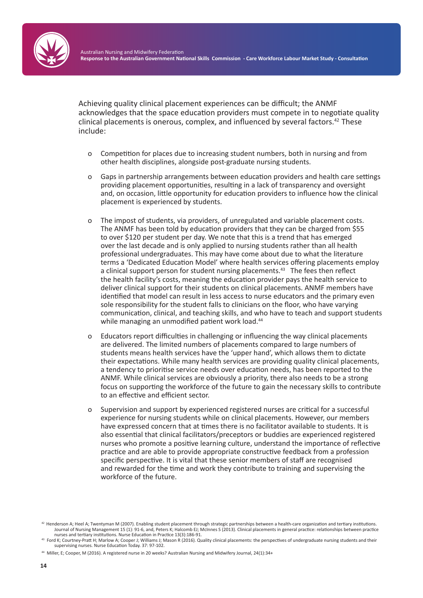

Achieving quality clinical placement experiences can be difficult; the ANMF acknowledges that the space education providers must compete in to negotiate quality clinical placements is onerous, complex, and influenced by several factors.<sup>42</sup> These include:

- o Competition for places due to increasing student numbers, both in nursing and from other health disciplines, alongside post-graduate nursing students.
- o Gaps in partnership arrangements between education providers and health care settings providing placement opportunities, resulting in a lack of transparency and oversight and, on occasion, little opportunity for education providers to influence how the clinical placement is experienced by students.
- o The impost of students, via providers, of unregulated and variable placement costs. The ANMF has been told by education providers that they can be charged from \$55 to over \$120 per student per day. We note that this is a trend that has emerged over the last decade and is only applied to nursing students rather than all health professional undergraduates. This may have come about due to what the literature terms a 'Dedicated Education Model' where health services offering placements employ a clinical support person for student nursing placements.<sup>43</sup> The fees then reflect the health facility's costs, meaning the education provider pays the health service to deliver clinical support for their students on clinical placements. ANMF members have identified that model can result in less access to nurse educators and the primary even sole responsibility for the student falls to clinicians on the floor, who have varying communication, clinical, and teaching skills, and who have to teach and support students while managing an unmodified patient work load.<sup>44</sup>
- o Educators report difficulties in challenging or influencing the way clinical placements are delivered. The limited numbers of placements compared to large numbers of students means health services have the 'upper hand', which allows them to dictate their expectations. While many health services are providing quality clinical placements, a tendency to prioritise service needs over education needs, has been reported to the ANMF. While clinical services are obviously a priority, there also needs to be a strong focus on supporting the workforce of the future to gain the necessary skills to contribute to an effective and efficient sector.
- o Supervision and support by experienced registered nurses are critical for a successful experience for nursing students while on clinical placements. However, our members have expressed concern that at times there is no facilitator available to students. It is also essential that clinical facilitators/preceptors or buddies are experienced registered nurses who promote a positive learning culture, understand the importance of reflective practice and are able to provide appropriate constructive feedback from a profession specific perspective. It is vital that these senior members of staff are recognised and rewarded for the time and work they contribute to training and supervising the workforce of the future.

<sup>42</sup> Henderson A; Heel A; Twentyman M (2007). Enabling student placement through strategic partnerships between a health-care organization and tertiary institutions. Journal of Nursing Management 15 (1): 91-6, and, Peters K; Halcomb EJ; McInnes S (2013). Clinical placements in general practice: relationships between practice nurses and tertiary institutions. Nurse Education in Practice 13(3):186-91.

Ford K; Courtney-Pratt H; Marlow A; Cooper J; Williams J; Mason R (2016). Quality clinical placements: the perspectives of undergraduate nursing students and their supervising nurses. Nurse Education Today. 37: 97-102.

<sup>44</sup> Miller, E; Cooper, M (2016). A registered nurse in 20 weeks? Australian Nursing and Midwifery Journal, 24(1):34+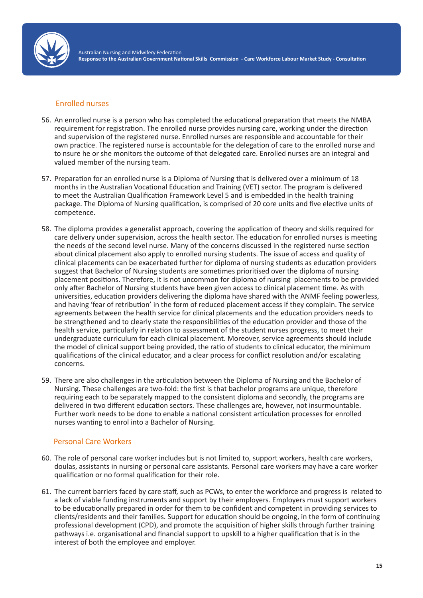

#### Enrolled nurses

- 56. An enrolled nurse is a person who has completed the educational preparation that meets the NMBA requirement for registration. The enrolled nurse provides nursing care, working under the direction and supervision of the registered nurse. Enrolled nurses are responsible and accountable for their own practice. The registered nurse is accountable for the delegation of care to the enrolled nurse and to nsure he or she monitors the outcome of that delegated care. Enrolled nurses are an integral and valued member of the nursing team.
- 57. Preparation for an enrolled nurse is a Diploma of Nursing that is delivered over a minimum of 18 months in the Australian Vocational Education and Training (VET) sector. The program is delivered to meet the Australian Qualification Framework Level 5 and is embedded in the health training package. The Diploma of Nursing qualification, is comprised of 20 core units and five elective units of competence.
- 58. The diploma provides a generalist approach, covering the application of theory and skills required for care delivery under supervision, across the health sector. The education for enrolled nurses is meeting the needs of the second level nurse. Many of the concerns discussed in the registered nurse section about clinical placement also apply to enrolled nursing students. The issue of access and quality of clinical placements can be exacerbated further for diploma of nursing students as education providers suggest that Bachelor of Nursing students are sometimes prioritised over the diploma of nursing placement positions. Therefore, it is not uncommon for diploma of nursing placements to be provided only after Bachelor of Nursing students have been given access to clinical placement time. As with universities, education providers delivering the diploma have shared with the ANMF feeling powerless, and having 'fear of retribution' in the form of reduced placement access if they complain. The service agreements between the health service for clinical placements and the education providers needs to be strengthened and to clearly state the responsibilities of the education provider and those of the health service, particularly in relation to assessment of the student nurses progress, to meet their undergraduate curriculum for each clinical placement. Moreover, service agreements should include the model of clinical support being provided, the ratio of students to clinical educator, the minimum qualifications of the clinical educator, and a clear process for conflict resolution and/or escalating concerns.
- 59. There are also challenges in the articulation between the Diploma of Nursing and the Bachelor of Nursing. These challenges are two-fold: the first is that bachelor programs are unique, therefore requiring each to be separately mapped to the consistent diploma and secondly, the programs are delivered in two different education sectors. These challenges are, however, not insurmountable. Further work needs to be done to enable a national consistent articulation processes for enrolled nurses wanting to enrol into a Bachelor of Nursing.

## Personal Care Workers

- 60. The role of personal care worker includes but is not limited to, support workers, health care workers, doulas, assistants in nursing or personal care assistants. Personal care workers may have a care worker qualification or no formal qualification for their role.
- 61. The current barriers faced by care staff, such as PCWs, to enter the workforce and progress is related to a lack of viable funding instruments and support by their employers. Employers must support workers to be educationally prepared in order for them to be confident and competent in providing services to clients/residents and their families. Support for education should be ongoing, in the form of continuing professional development (CPD), and promote the acquisition of higher skills through further training pathways i.e. organisational and financial support to upskill to a higher qualification that is in the interest of both the employee and employer.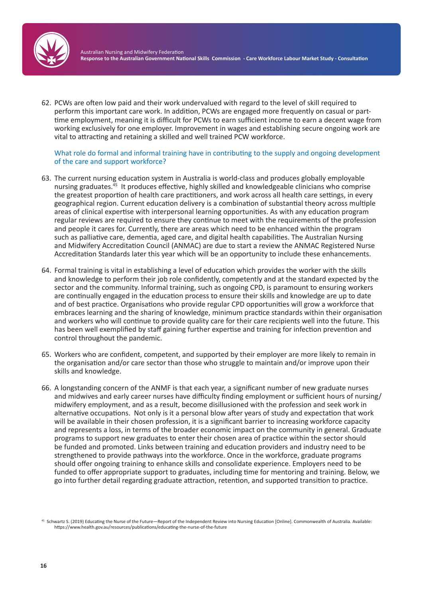

62. PCWs are often low paid and their work undervalued with regard to the level of skill required to perform this important care work. In addition, PCWs are engaged more frequently on casual or parttime employment, meaning it is difficult for PCWs to earn sufficient income to earn a decent wage from working exclusively for one employer. Improvement in wages and establishing secure ongoing work are vital to attracting and retaining a skilled and well trained PCW workforce.

#### What role do formal and informal training have in contributing to the supply and ongoing development of the care and support workforce?

- 63. The current nursing education system in Australia is world-class and produces globally employable nursing graduates.<sup>45</sup> It produces effective, highly skilled and knowledgeable clinicians who comprise the greatest proportion of health care practitioners, and work across all health care settings, in every geographical region. Current education delivery is a combination of substantial theory across multiple areas of clinical expertise with interpersonal learning opportunities. As with any education program regular reviews are required to ensure they continue to meet with the requirements of the profession and people it cares for. Currently, there are areas which need to be enhanced within the program such as palliative care, dementia, aged care, and digital health capabilities. The Australian Nursing and Midwifery Accreditation Council (ANMAC) are due to start a review the ANMAC Registered Nurse Accreditation Standards later this year which will be an opportunity to include these enhancements.
- 64. Formal training is vital in establishing a level of education which provides the worker with the skills and knowledge to perform their job role confidently, competently and at the standard expected by the sector and the community. Informal training, such as ongoing CPD, is paramount to ensuring workers are continually engaged in the education process to ensure their skills and knowledge are up to date and of best practice. Organisations who provide regular CPD opportunities will grow a workforce that embraces learning and the sharing of knowledge, minimum practice standards within their organisation and workers who will continue to provide quality care for their care recipients well into the future. This has been well exemplified by staff gaining further expertise and training for infection prevention and control throughout the pandemic.
- 65. Workers who are confident, competent, and supported by their employer are more likely to remain in the organisation and/or care sector than those who struggle to maintain and/or improve upon their skills and knowledge.
- 66. A longstanding concern of the ANMF is that each year, a significant number of new graduate nurses and midwives and early career nurses have difficulty finding employment or sufficient hours of nursing/ midwifery employment, and as a result, become disillusioned with the profession and seek work in alternative occupations. Not only is it a personal blow after years of study and expectation that work will be available in their chosen profession, it is a significant barrier to increasing workforce capacity and represents a loss, in terms of the broader economic impact on the community in general. Graduate programs to support new graduates to enter their chosen area of practice within the sector should be funded and promoted. Links between training and education providers and industry need to be strengthened to provide pathways into the workforce. Once in the workforce, graduate programs should offer ongoing training to enhance skills and consolidate experience. Employers need to be funded to offer appropriate support to graduates, including time for mentoring and training. Below, we go into further detail regarding graduate attraction, retention, and supported transition to practice.

<sup>45</sup> Schwartz S. (2019) Educating the Nurse of the Future—Report of the Independent Review into Nursing Education [Online]. Commonwealth of Australia. Available: https://www.health.gov.au/resources/publications/educating-the-nurse-of-the-future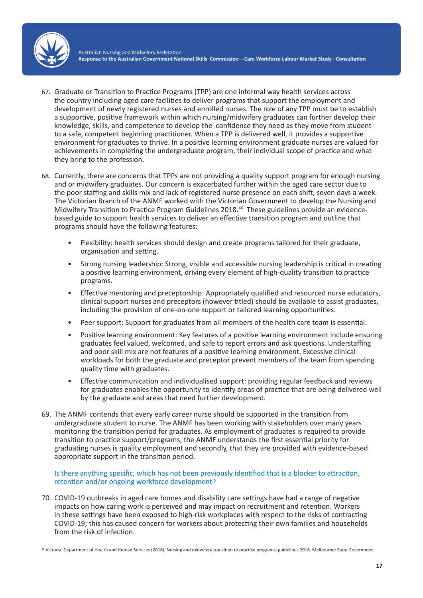

- 67. Graduate or Transition to Practice Programs (TPP) are one informal way health services across the country including aged care facilities to deliver programs that support the employment and development of newly registered nurses and enrolled nurses. The role of any TPP must be to establish a supportive, positive framework within which nursing/midwifery graduates can further develop their knowledge, skills, and competence to develop the confidence they need as they move from student to a safe, competent beginning practitioner. When a TPP is delivered well, it provides a supportive environment for graduates to thrive. In a positive learning environment graduate nurses are valued for achievements in completing the undergraduate program, their individual scope of practice and what they bring to the profession.
- 68. Currently, there are concerns that TPPs are not providing a quality support program for enough nursing and or midwifery graduates. Our concern is exacerbated further within the aged care sector due to the poor staffing and skills mix and lack of registered nurse presence on each shift, seven days a week. The Victorian Branch of the ANMF worked with the Victorian Government to develop the Nursing and Midwifery Transition to Practice Program Guidelines 2018.46 These guidelines provide an evidencebased guide to support health services to deliver an effective transition program and outline that programs should have the following features:
	- Flexibility: health services should design and create programs tailored for their graduate, organisation and setting.
	- Strong nursing leadership: Strong, visible and accessible nursing leadership is critical in creating a positive learning environment, driving every element of high-quality transition to practice programs.
	- Effective mentoring and preceptorship: Appropriately qualified and resourced nurse educators, clinical support nurses and preceptors (however titled) should be available to assist graduates, including the provision of one-on-one support or tailored learning opportunities.
	- Peer support: Support for graduates from all members of the health care team is essential.
	- Positive learning environment: Key features of a positive learning environment include ensuring graduates feel valued, welcomed, and safe to report errors and ask questions. Understaffing and poor skill mix are not features of a positive learning environment. Excessive clinical workloads for both the graduate and preceptor prevent members of the team from spending quality time with graduates.
	- Effective communication and individualised support: providing regular feedback and reviews for graduates enables the opportunity to identify areas of practice that are being delivered well by the graduate and areas that need further development.
- 69. The ANMF contends that every early career nurse should be supported in the transition from undergraduate student to nurse. The ANMF has been working with stakeholders over many years monitoring the transition period for graduates. As employment of graduates is required to provide transition to practice support/programs, the ANMF understands the first essential priority for graduating nurses is quality employment and secondly, that they are provided with evidence-based appropriate support in the transition period.

Is there anything specific, which has not been previously identified that is a blocker to attraction, retention and/or ongoing workforce development?

70. COVID-19 outbreaks in aged care homes and disability care settings have had a range of negative impacts on how caring work is perceived and may impact on recruitment and retention. Workers in these settings have been exposed to high-risk workplaces with respect to the risks of contracting COVID-19; this has caused concern for workers about protecting their own families and households from the risk of infection.

46 Victoria. Department of Health and Human Services (2018). Nursing and midwifery transition to practice programs: guidelines 2018. Melbourne: State Government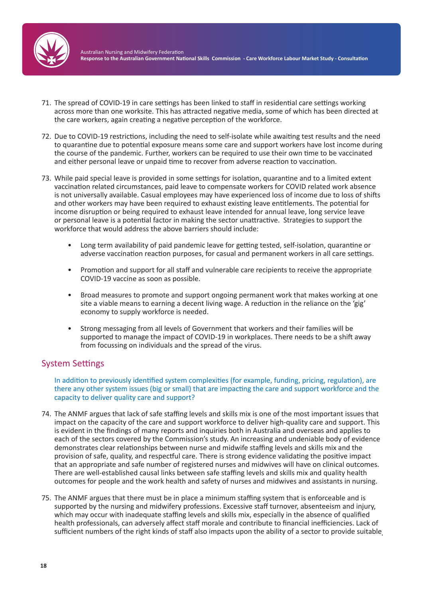

- 71. The spread of COVID-19 in care settings has been linked to staff in residential care settings working across more than one worksite. This has attracted negative media, some of which has been directed at the care workers, again creating a negative perception of the workforce.
- 72. Due to COVID-19 restrictions, including the need to self-isolate while awaiting test results and the need to quarantine due to potential exposure means some care and support workers have lost income during the course of the pandemic. Further, workers can be required to use their own time to be vaccinated and either personal leave or unpaid time to recover from adverse reaction to vaccination.
- 73. While paid special leave is provided in some settings for isolation, quarantine and to a limited extent vaccination related circumstances, paid leave to compensate workers for COVID related work absence is not universally available. Casual employees may have experienced loss of income due to loss of shifts and other workers may have been required to exhaust existing leave entitlements. The potential for income disruption or being required to exhaust leave intended for annual leave, long service leave or personal leave is a potential factor in making the sector unattractive. Strategies to support the workforce that would address the above barriers should include:
	- Long term availability of paid pandemic leave for getting tested, self-isolation, quarantine or adverse vaccination reaction purposes, for casual and permanent workers in all care settings.
	- Promotion and support for all staff and vulnerable care recipients to receive the appropriate COVID-19 vaccine as soon as possible.
	- Broad measures to promote and support ongoing permanent work that makes working at one site a viable means to earning a decent living wage. A reduction in the reliance on the 'gig' economy to supply workforce is needed.
	- Strong messaging from all levels of Government that workers and their families will be supported to manage the impact of COVID-19 in workplaces. There needs to be a shift away from focussing on individuals and the spread of the virus.

# System Settings

In addition to previously identified system complexities (for example, funding, pricing, regulation), are there any other system issues (big or small) that are impacting the care and support workforce and the capacity to deliver quality care and support?

- 74. The ANMF argues that lack of safe staffing levels and skills mix is one of the most important issues that impact on the capacity of the care and support workforce to deliver high-quality care and support. This is evident in the findings of many reports and inquiries both in Australia and overseas and applies to each of the sectors covered by the Commission's study. An increasing and undeniable body of evidence demonstrates clear relationships between nurse and midwife staffing levels and skills mix and the provision of safe, quality, and respectful care. There is strong evidence validating the positive impact that an appropriate and safe number of registered nurses and midwives will have on clinical outcomes. There are well-established causal links between safe staffing levels and skills mix and quality health outcomes for people and the work health and safety of nurses and midwives and assistants in nursing.
- 75. The ANMF argues that there must be in place a minimum staffing system that is enforceable and is supported by the nursing and midwifery professions. Excessive staff turnover, absenteeism and injury, which may occur with inadequate staffing levels and skills mix, especially in the absence of qualified health professionals, can adversely affect staff morale and contribute to financial inefficiencies. Lack of sufficient numbers of the right kinds of staff also impacts upon the ability of a sector to provide suitable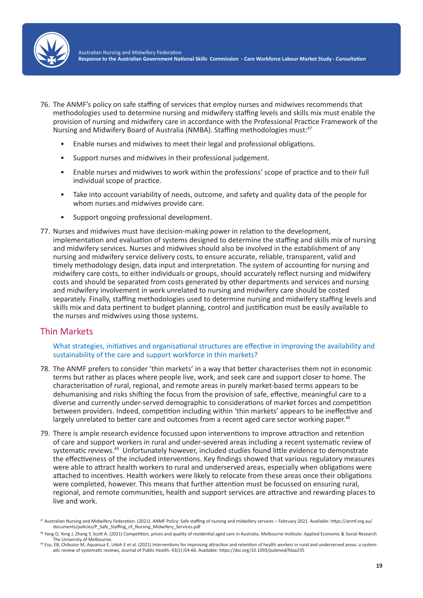

- 76. The ANMF's policy on safe staffing of services that employ nurses and midwives recommends that methodologies used to determine nursing and midwifery staffing levels and skills mix must enable the provision of nursing and midwifery care in accordance with the Professional Practice Framework of the Nursing and Midwifery Board of Australia (NMBA). Staffing methodologies must:47
	- Enable nurses and midwives to meet their legal and professional obligations.
	- Support nurses and midwives in their professional judgement.
	- Enable nurses and midwives to work within the professions' scope of practice and to their full individual scope of practice.
	- Take into account variability of needs, outcome, and safety and quality data of the people for whom nurses and midwives provide care.
	- Support ongoing professional development.
- 77. Nurses and midwives must have decision-making power in relation to the development, implementation and evaluation of systems designed to determine the staffing and skills mix of nursing and midwifery services. Nurses and midwives should also be involved in the establishment of any nursing and midwifery service delivery costs, to ensure accurate, reliable, transparent, valid and timely methodology design, data input and interpretation. The system of accounting for nursing and midwifery care costs, to either individuals or groups, should accurately reflect nursing and midwifery costs and should be separated from costs generated by other departments and services and nursing and midwifery involvement in work unrelated to nursing and midwifery care should be costed separately. Finally, staffing methodologies used to determine nursing and midwifery staffing levels and skills mix and data pertinent to budget planning, control and justification must be easily available to the nurses and midwives using those systems.

## Thin Markets

What strategies, initiatives and organisational structures are effective in improving the availability and sustainability of the care and support workforce in thin markets?

- 78. The ANMF prefers to consider 'thin markets' in a way that better characterises them not in economic terms but rather as places where people live, work, and seek care and support closer to home. The characterisation of rural, regional, and remote areas in purely market-based terms appears to be dehumanising and risks shifting the focus from the provision of safe, effective, meaningful care to a diverse and currently under-served demographic to considerations of market forces and competition between providers. Indeed, competition including within 'thin markets' appears to be ineffective and largely unrelated to better care and outcomes from a recent aged care sector working paper.<sup>48</sup>
- 79. There is ample research evidence focussed upon interventions to improve attraction and retention of care and support workers in rural and under-severed areas including a recent systematic review of systematic reviews.<sup>49</sup> Unfortunately however, included studies found little evidence to demonstrate the effectiveness of the included interventions. Key findings showed that various regulatory measures were able to attract health workers to rural and underserved areas, especially when obligations were attached to incentives. Health workers were likely to relocate from these areas once their obligations were completed, however. This means that further attention must be focussed on ensuring rural, regional, and remote communities, health and support services are attractive and rewarding places to live and work.

<sup>47</sup> Australian Nursing and Midwifery Federation. (2021). ANMF Policy: Safe staffing of nursing and midwifery services – February 2021. Available: https://anmf.org.au/ documents/policies/P\_Safe\_Staffing\_of\_Nursing\_Midwifery\_Services.pdf

<sup>&</sup>lt;sup>48</sup> Yang O, Yong J, Zhang Y, Scott A. (2021) Competition, prices and quality of residential aged care in Australia. Melbourne Institute: Applied Economic & Social Research The University of Melbourne.<br><sup>49</sup> Esu, EB, Chibuzor M, Aquaisua E, Udoh E et al. (2021) Interventions for improving attraction and retention of health workers in rural and underserved areas: a system-

atic review of systematic reviews, Journal of Public Health. 43(1):i54-66. Available: https://doi.org/10.1093/pubmed/fdaa235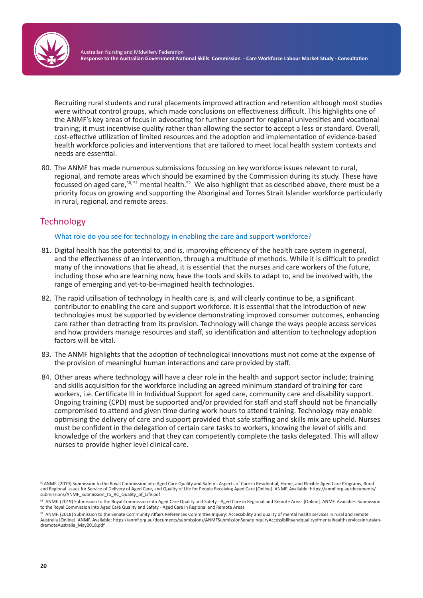

Recruiting rural students and rural placements improved attraction and retention although most studies were without control groups, which made conclusions on effectiveness difficult. This highlights one of the ANMF's key areas of focus in advocating for further support for regional universities and vocational training; it must incentivise quality rather than allowing the sector to accept a less or standard. Overall, cost-effective utilization of limited resources and the adoption and implementation of evidence-based health workforce policies and interventions that are tailored to meet local health system contexts and needs are essential.

80. The ANMF has made numerous submissions focussing on key workforce issues relevant to rural, regional, and remote areas which should be examined by the Commission during its study. These have focussed on aged care,50, 51 mental health.<sup>52</sup> We also highlight that as described above, there must be a priority focus on growing and supporting the Aboriginal and Torres Strait Islander workforce particularly in rural, regional, and remote areas.

# **Technology**

### What role do you see for technology in enabling the care and support workforce?

- 81. Digital health has the potential to, and is, improving efficiency of the health care system in general, and the effectiveness of an intervention, through a multitude of methods. While it is difficult to predict many of the innovations that lie ahead, it is essential that the nurses and care workers of the future, including those who are learning now, have the tools and skills to adapt to, and be involved with, the range of emerging and yet-to-be-imagined health technologies.
- 82. The rapid utilisation of technology in health care is, and will clearly continue to be, a significant contributor to enabling the care and support workforce. It is essential that the introduction of new technologies must be supported by evidence demonstrating improved consumer outcomes, enhancing care rather than detracting from its provision. Technology will change the ways people access services and how providers manage resources and staff, so identification and attention to technology adoption factors will be vital.
- 83. The ANMF highlights that the adoption of technological innovations must not come at the expense of the provision of meaningful human interactions and care provided by staff.
- 84. Other areas where technology will have a clear role in the health and support sector include; training and skills acquisition for the workforce including an agreed minimum standard of training for care workers, i.e. Certificate III in Individual Support for aged care, community care and disability support. Ongoing training (CPD) must be supported and/or provided for staff and staff should not be financially compromised to attend and given time during work hours to attend training. Technology may enable optimising the delivery of care and support provided that safe staffing and skills mix are upheld. Nurses must be confident in the delegation of certain care tasks to workers, knowing the level of skills and knowledge of the workers and that they can competently complete the tasks delegated. This will allow nurses to provide higher level clinical care.

<sup>50</sup>ANMF. (2019) Submission to the Royal Commission into Aged Care Quality and Safety - Aspects of Care in Residential, Home, and Flexible Aged Care Programs, Rural and Regional Issues for Service of Delivery of Aged Care, and Quality of Life for People Receiving Aged Care [Online]. ANMF. Available: https://anmf.org.au/documents/ submissions/ANMF\_Submission\_to\_RC\_Quality\_of\_Life.pdf

<sup>51</sup> ANMF. (2019) Submission to the Royal Commission into Aged Care Quality and Safety - Aged Care in Regional and Remote Areas [Online]. ANMF. Available: Submission to the Royal Commission into Aged Care Quality and Safety - Aged Care in Regional and Remote Areas

<sup>52</sup> ANMF. (2018) Submission to the Senate Community Affairs References Committee Inquiry: Accessibility and quality of mental health services in rural and remote Australia [Online]. ANMF. Available: https://anmf.org.au/documents/submissions/ANMFSubmissionSenateInquiryAccessibilityandqualityofmentalhealthservicesinruralandremoteAustralia\_May2018.pdf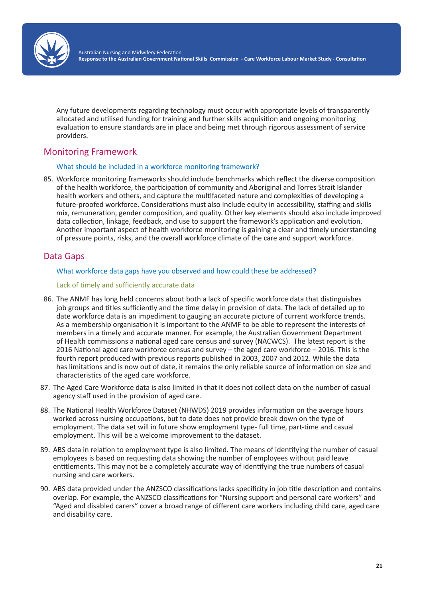

Any future developments regarding technology must occur with appropriate levels of transparently allocated and utilised funding for training and further skills acquisition and ongoing monitoring evaluation to ensure standards are in place and being met through rigorous assessment of service providers.

# Monitoring Framework

#### What should be included in a workforce monitoring framework?

85. Workforce monitoring frameworks should include benchmarks which reflect the diverse composition of the health workforce, the participation of community and Aboriginal and Torres Strait Islander health workers and others, and capture the multifaceted nature and complexities of developing a future-proofed workforce. Considerations must also include equity in accessibility, staffing and skills mix, remuneration, gender composition, and quality. Other key elements should also include improved data collection, linkage, feedback, and use to support the framework's application and evolution. Another important aspect of health workforce monitoring is gaining a clear and timely understanding of pressure points, risks, and the overall workforce climate of the care and support workforce.

# Data Gaps

#### What workforce data gaps have you observed and how could these be addressed?

### Lack of timely and sufficiently accurate data

- 86. The ANMF has long held concerns about both a lack of specific workforce data that distinguishes job groups and titles sufficiently and the time delay in provision of data. The lack of detailed up to date workforce data is an impediment to gauging an accurate picture of current workforce trends. As a membership organisation it is important to the ANMF to be able to represent the interests of members in a timely and accurate manner. For example, the Australian Government Department of Health commissions a national aged care census and survey (NACWCS). The latest report is the 2016 National aged care workforce census and survey – the aged care workforce – 2016. This is the fourth report produced with previous reports published in 2003, 2007 and 2012. While the data has limitations and is now out of date, it remains the only reliable source of information on size and characteristics of the aged care workforce.
- 87. The Aged Care Workforce data is also limited in that it does not collect data on the number of casual agency staff used in the provision of aged care.
- 88. The National Health Workforce Dataset (NHWDS) 2019 provides information on the average hours worked across nursing occupations, but to date does not provide break down on the type of employment. The data set will in future show employment type- full time, part-time and casual employment. This will be a welcome improvement to the dataset.
- 89. ABS data in relation to employment type is also limited. The means of identifying the number of casual employees is based on requesting data showing the number of employees without paid leave entitlements. This may not be a completely accurate way of identifying the true numbers of casual nursing and care workers.
- 90. ABS data provided under the ANZSCO classifications lacks specificity in job title description and contains overlap. For example, the ANZSCO classifications for "Nursing support and personal care workers" and "Aged and disabled carers" cover a broad range of different care workers including child care, aged care and disability care.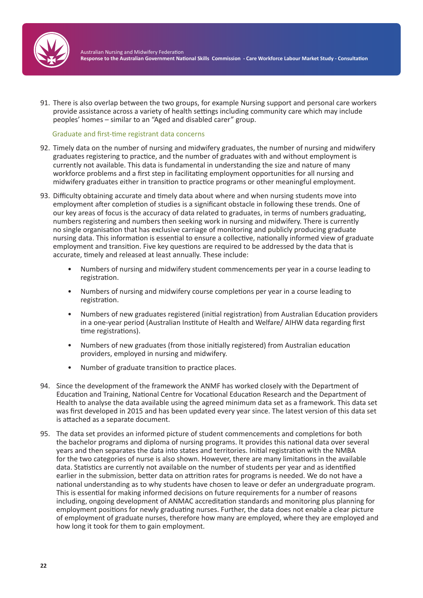

91. There is also overlap between the two groups, for example Nursing support and personal care workers provide assistance across a variety of health settings including community care which may include peoples' homes – similar to an "Aged and disabled carer" group.

Graduate and first-time registrant data concerns

- 92. Timely data on the number of nursing and midwifery graduates, the number of nursing and midwifery graduates registering to practice, and the number of graduates with and without employment is currently not available. This data is fundamental in understanding the size and nature of many workforce problems and a first step in facilitating employment opportunities for all nursing and midwifery graduates either in transition to practice programs or other meaningful employment.
- 93. Difficulty obtaining accurate and timely data about where and when nursing students move into employment after completion of studies is a significant obstacle in following these trends. One of our key areas of focus is the accuracy of data related to graduates, in terms of numbers graduating, numbers registering and numbers then seeking work in nursing and midwifery. There is currently no single organisation that has exclusive carriage of monitoring and publicly producing graduate nursing data. This information is essential to ensure a collective, nationally informed view of graduate employment and transition. Five key questions are required to be addressed by the data that is accurate, timely and released at least annually. These include:
	- Numbers of nursing and midwifery student commencements per year in a course leading to registration.
	- Numbers of nursing and midwifery course completions per year in a course leading to registration.
	- Numbers of new graduates registered (initial registration) from Australian Education providers in a one-year period (Australian Institute of Health and Welfare/ AIHW data regarding first time registrations).
	- Numbers of new graduates (from those initially registered) from Australian education providers, employed in nursing and midwifery.
	- Number of graduate transition to practice places.
- 94. Since the development of the framework the ANMF has worked closely with the Department of Education and Training, National Centre for Vocational Education Research and the Department of Health to analyse the data available using the agreed minimum data set as a framework. This data set was first developed in 2015 and has been updated every year since. The latest version of this data set is attached as a separate document.
- 95. The data set provides an informed picture of student commencements and completions for both the bachelor programs and diploma of nursing programs. It provides this national data over several years and then separates the data into states and territories. Initial registration with the NMBA for the two categories of nurse is also shown. However, there are many limitations in the available data. Statistics are currently not available on the number of students per year and as identified earlier in the submission, better data on attrition rates for programs is needed. We do not have a national understanding as to why students have chosen to leave or defer an undergraduate program. This is essential for making informed decisions on future requirements for a number of reasons including, ongoing development of ANMAC accreditation standards and monitoring plus planning for employment positions for newly graduating nurses. Further, the data does not enable a clear picture of employment of graduate nurses, therefore how many are employed, where they are employed and how long it took for them to gain employment.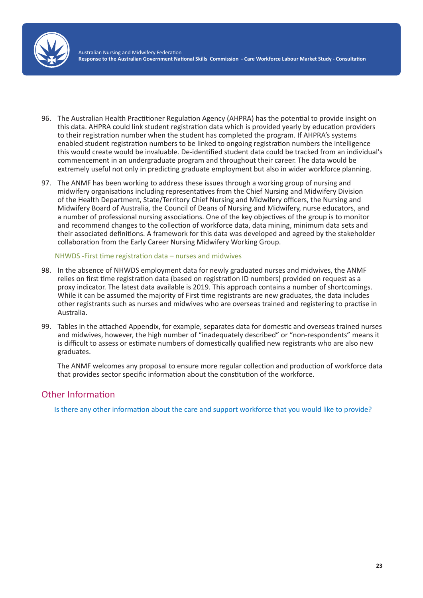

- 96. The Australian Health Practitioner Regulation Agency (AHPRA) has the potential to provide insight on this data. AHPRA could link student registration data which is provided yearly by education providers to their registration number when the student has completed the program. If AHPRA's systems enabled student registration numbers to be linked to ongoing registration numbers the intelligence this would create would be invaluable. De-identified student data could be tracked from an individual's commencement in an undergraduate program and throughout their career. The data would be extremely useful not only in predicting graduate employment but also in wider workforce planning.
- 97. The ANMF has been working to address these issues through a working group of nursing and midwifery organisations including representatives from the Chief Nursing and Midwifery Division of the Health Department, State/Territory Chief Nursing and Midwifery officers, the Nursing and Midwifery Board of Australia, the Council of Deans of Nursing and Midwifery, nurse educators, and a number of professional nursing associations. One of the key objectives of the group is to monitor and recommend changes to the collection of workforce data, data mining, minimum data sets and their associated definitions. A framework for this data was developed and agreed by the stakeholder collaboration from the Early Career Nursing Midwifery Working Group.

#### NHWDS -First time registration data – nurses and midwives

- 98. In the absence of NHWDS employment data for newly graduated nurses and midwives, the ANMF relies on first time registration data (based on registration ID numbers) provided on request as a proxy indicator. The latest data available is 2019. This approach contains a number of shortcomings. While it can be assumed the majority of First time registrants are new graduates, the data includes other registrants such as nurses and midwives who are overseas trained and registering to practise in Australia.
- 99. Tables in the attached Appendix, for example, separates data for domestic and overseas trained nurses and midwives, however, the high number of "inadequately described" or "non-respondents" means it is difficult to assess or estimate numbers of domestically qualified new registrants who are also new graduates.

The ANMF welcomes any proposal to ensure more regular collection and production of workforce data that provides sector specific information about the constitution of the workforce.

## Other Information

Is there any other information about the care and support workforce that you would like to provide?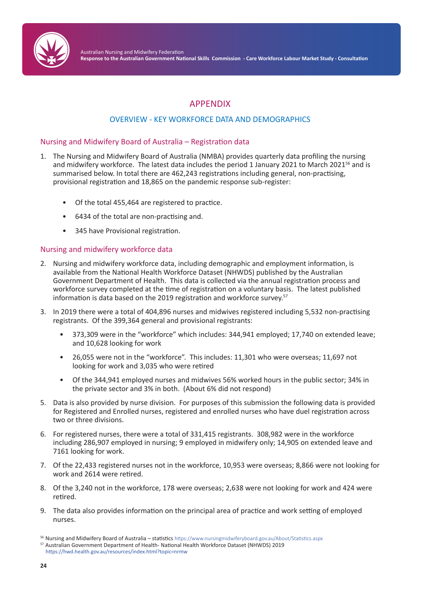

# APPENDIX

## OVERVIEW - KEY WORKFORCE DATA AND DEMOGRAPHICS

## Nursing and Midwifery Board of Australia – Registration data

- 1. The Nursing and Midwifery Board of Australia (NMBA) provides quarterly data profiling the nursing and midwifery workforce. The latest data includes the period 1 January 2021 to March 2021<sup>56</sup> and is summarised below. In total there are 462,243 registrations including general, non-practising, provisional registration and 18,865 on the pandemic response sub-register:
	- Of the total 455,464 are registered to practice.
	- 6434 of the total are non-practising and.
	- 345 have Provisional registration.

## Nursing and midwifery workforce data

- 2. Nursing and midwifery workforce data, including demographic and employment information, is available from the National Health Workforce Dataset (NHWDS) published by the Australian Government Department of Health. This data is collected via the annual registration process and workforce survey completed at the time of registration on a voluntary basis. The latest published information is data based on the 2019 registration and workforce survey.<sup>57</sup>
- 3. In 2019 there were a total of 404,896 nurses and midwives registered including 5,532 non-practising registrants. Of the 399,364 general and provisional registrants:
	- 373,309 were in the "workforce" which includes: 344,941 employed; 17,740 on extended leave; and 10,628 looking for work
	- 26,055 were not in the "workforce". This includes: 11,301 who were overseas; 11,697 not looking for work and 3,035 who were retired
	- Of the 344,941 employed nurses and midwives 56% worked hours in the public sector; 34% in the private sector and 3% in both. (About 6% did not respond)
- 5. Data is also provided by nurse division. For purposes of this submission the following data is provided for Registered and Enrolled nurses, registered and enrolled nurses who have duel registration across two or three divisions.
- 6. For registered nurses, there were a total of 331,415 registrants.308,982 were in the workforce including 286,907 employed in nursing; 9 employed in midwifery only; 14,905 on extended leave and 7161 looking for work.
- 7. Of the 22,433 registered nurses not in the workforce, 10,953 were overseas; 8,866 were not looking for work and 2614 were retired.
- 8. Of the 3,240 not in the workforce, 178 were overseas; 2,638 were not looking for work and 424 were retired.
- 9. The data also provides information on the principal area of practice and work setting of employed nurses.

<sup>56</sup> Nursing and Midwifery Board of Australia – statistics https://www.nursingmidwiferyboard.gov.au/About/Statistics.aspx

<sup>&</sup>lt;sup>57</sup> Australian Government Department of Health- National Health Workforce Dataset (NHWDS) 2019 https://hwd.health.gov.au/resources/index.html?topic=nrmw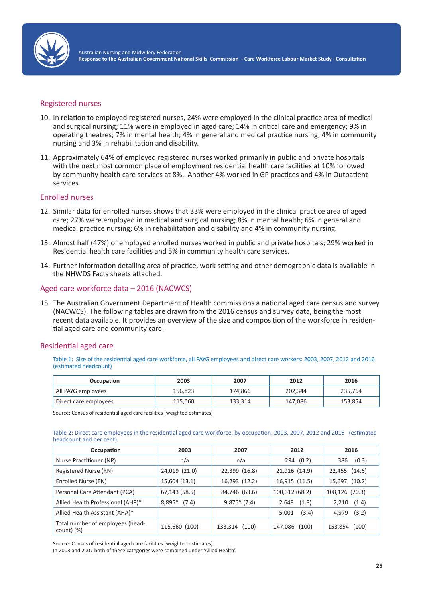

#### Registered nurses

- 10. In relation to employed registered nurses, 24% were employed in the clinical practice area of medical and surgical nursing; 11% were in employed in aged care; 14% in critical care and emergency; 9% in operating theatres; 7% in mental health; 4% in general and medical practice nursing; 4% in community nursing and 3% in rehabilitation and disability.
- 11. Approximately 64% of employed registered nurses worked primarily in public and private hospitals with the next most common place of employment residential health care facilities at 10% followed by community health care services at 8%. Another 4% worked in GP practices and 4% in Outpatient services.

#### Enrolled nurses

- 12. Similar data for enrolled nurses shows that 33% were employed in the clinical practice area of aged care; 27% were employed in medical and surgical nursing; 8% in mental health; 6% in general and medical practice nursing; 6% in rehabilitation and disability and 4% in community nursing.
- 13. Almost half (47%) of employed enrolled nurses worked in public and private hospitals; 29% worked in Residential health care facilities and 5% in community health care services.
- 14. Further information detailing area of practice, work setting and other demographic data is available in the NHWDS Facts sheets attached.

#### Aged care workforce data – 2016 (NACWCS)

15. The Australian Government Department of Health commissions a national aged care census and survey (NACWCS). The following tables are drawn from the 2016 census and survey data, being the most recent data available. It provides an overview of the size and composition of the workforce in residential aged care and community care.

#### Residential aged care

Table 1: Size of the residential aged care workforce, all PAYG employees and direct care workers: 2003, 2007, 2012 and 2016 (estimated headcount)

| Occupation            | 2003    | 2007    | 2012    | 2016    |
|-----------------------|---------|---------|---------|---------|
| All PAYG employees    | 156,823 | 174.866 | 202,344 | 235,764 |
| Direct care employees | 115,660 | 133,314 | 147,086 | 153,854 |

Source: Census of residential aged care facilities (weighted estimates)

Table 2: Direct care employees in the residential aged care workforce, by occupation: 2003, 2007, 2012 and 2016 (estimated headcount and per cent)

| Occupation                                       | 2003           | 2007             | 2012             | 2016             |
|--------------------------------------------------|----------------|------------------|------------------|------------------|
| Nurse Practitioner (NP)                          | n/a            | n/a              | 294 (0.2)        | (0.3)<br>386     |
| Registered Nurse (RN)                            | 24,019 (21.0)  | 22,399 (16.8)    | 21,916 (14.9)    | (14.6)<br>22,455 |
| Enrolled Nurse (EN)                              | 15,604 (13.1)  | 16,293 (12.2)    | 16,915 (11.5)    | (10.2)<br>15,697 |
| Personal Care Attendant (PCA)                    | 67,143 (58.5)  | 84,746 (63.6)    | 100,312 (68.2)   | 108,126 (70.3)   |
| Allied Health Professional (AHP)*                | $8,895*$ (7.4) | $9,875*(7.4)$    | (1.8)<br>2,648   | (1.4)<br>2,210   |
| Allied Health Assistant (AHA)*                   |                |                  | (3.4)<br>5,001   | (3.2)<br>4,979   |
| Total number of employees (head-<br>$count)$ (%) | 115,660 (100)  | (100)<br>133,314 | (100)<br>147,086 | (100)<br>153,854 |

Source: Census of residential aged care facilities (weighted estimates).

In 2003 and 2007 both of these categories were combined under 'Allied Health'.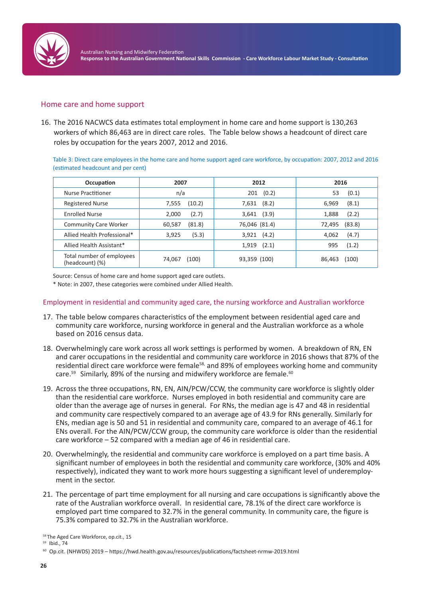

### Home care and home support

16. The 2016 NACWCS data estimates total employment in home care and home support is 130,263 workers of which 86,463 are in direct care roles. The Table below shows a headcount of direct care roles by occupation for the years 2007, 2012 and 2016.

Table 3: Direct care employees in the home care and home support aged care workforce, by occupation: 2007, 2012 and 2016 (estimated headcount and per cent)

| Occupation                   | 2007             | 2012           | 2016             |
|------------------------------|------------------|----------------|------------------|
| Nurse Practitioner           | n/a              | (0.2)<br>201   | (0.1)<br>53      |
| <b>Registered Nurse</b>      | (10.2)           | (8.2)          | (8.1)            |
|                              | 7,555            | 7,631          | 6,969            |
| <b>Enrolled Nurse</b>        | (2.7)            | (3.9)          | (2.2)            |
|                              | 2.000            | 3,641          | 1,888            |
| <b>Community Care Worker</b> | (81.8)<br>60,587 | 76,046 (81.4)  | (83.8)<br>72,495 |
| Allied Health Professional*  | (5.3)            | 3,921          | (4.7)            |
|                              | 3,925            | (4.2)          | 4,062            |
| Allied Health Assistant*     |                  | (2.1)<br>1,919 | (1.2)<br>995     |
| Total number of employees    | (100)            | 93,359 (100)   | (100)            |
| (headcount) (%)              | 74,067           |                | 86,463           |

Source: Census of home care and home support aged care outlets.

\* Note: in 2007, these categories were combined under Allied Health.

#### Employment in residential and community aged care, the nursing workforce and Australian workforce

- 17. The table below compares characteristics of the employment between residential aged care and community care workforce, nursing workforce in general and the Australian workforce as a whole based on 2016 census data.
- 18. Overwhelmingly care work across all work settings is performed by women. A breakdown of RN, EN and carer occupations in the residential and community care workforce in 2016 shows that 87% of the residential direct care workforce were female<sup>58,</sup> and 89% of employees working home and community care.<sup>59</sup> Similarly, 89% of the nursing and midwifery workforce are female.<sup>60</sup>
- 19. Across the three occupations, RN, EN, AIN/PCW/CCW, the community care workforce is slightly older than the residential care workforce. Nurses employed in both residential and community care are older than the average age of nurses in general. For RNs, the median age is 47 and 48 in residential and community care respectively compared to an average age of 43.9 for RNs generally. Similarly for ENs, median age is 50 and 51 in residential and community care, compared to an average of 46.1 for ENs overall. For the AIN/PCW/CCW group, the community care workforce is older than the residential care workforce – 52 compared with a median age of 46 in residential care.
- 20. Overwhelmingly, the residential and community care workforce is employed on a part time basis. A significant number of employees in both the residential and community care workforce, (30% and 40% respectively), indicated they want to work more hours suggesting a significant level of underemployment in the sector.
- 21. The percentage of part time employment for all nursing and care occupations is significantly above the rate of the Australian workforce overall. In residential care, 78.1% of the direct care workforce is employed part time compared to 32.7% in the general community. In community care, the figure is 75.3% compared to 32.7% in the Australian workforce.

<sup>58</sup> The Aged Care Workforce, op.cit., 15

<sup>&</sup>lt;sup>59</sup> Ibid., 74

<sup>60</sup> Op.cit. (NHWDS) 2019 – https://hwd.health.gov.au/resources/publications/factsheet-nrmw-2019.html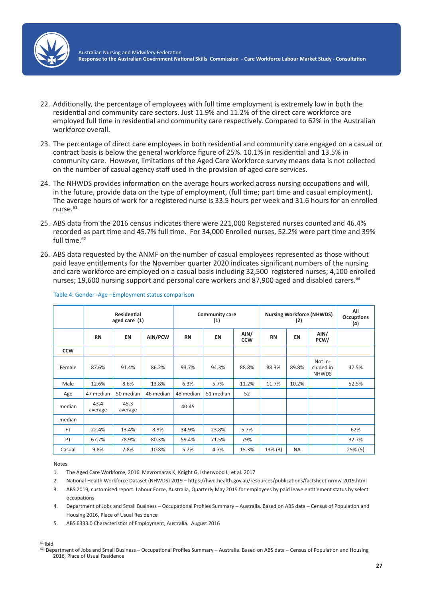

- 22. Additionally, the percentage of employees with full time employment is extremely low in both the residential and community care sectors. Just 11.9% and 11.2% of the direct care workforce are employed full time in residential and community care respectively. Compared to 62% in the Australian workforce overall.
- 23. The percentage of direct care employees in both residential and community care engaged on a casual or contract basis is below the general workforce figure of 25%. 10.1% in residential and 13.5% in community care. However, limitations of the Aged Care Workforce survey means data is not collected on the number of casual agency staff used in the provision of aged care services.
- 24. The NHWDS provides information on the average hours worked across nursing occupations and will, in the future, provide data on the type of employment, (full time; part time and casual employment). The average hours of work for a registered nurse is 33.5 hours per week and 31.6 hours for an enrolled nurse.61
- 25. ABS data from the 2016 census indicates there were 221,000 Registered nurses counted and 46.4% recorded as part time and 45.7% full time. For 34,000 Enrolled nurses, 52.2% were part time and 39% full time.<sup>62</sup>
- 26. ABS data requested by the ANMF on the number of casual employees represented as those without paid leave entitlements for the November quarter 2020 indicates significant numbers of the nursing and care workforce are employed on a casual basis including 32,500 registered nurses; 4,100 enrolled nurses; 19,600 nursing support and personal care workers and 87,900 aged and disabled carers.<sup>63</sup>

|            | <b>Residential</b><br>aged care (1) |                 |           | <b>Community care</b><br>(1) |           |                    | <b>Nursing Workforce (NHWDS)</b><br>(2) |           |                                      |         |
|------------|-------------------------------------|-----------------|-----------|------------------------------|-----------|--------------------|-----------------------------------------|-----------|--------------------------------------|---------|
|            | <b>RN</b>                           | <b>EN</b>       | AIN/PCW   | <b>RN</b>                    | <b>EN</b> | AIN/<br><b>CCW</b> | <b>RN</b>                               | EN        | AIN/<br>PCW/                         |         |
| <b>CCW</b> |                                     |                 |           |                              |           |                    |                                         |           |                                      |         |
| Female     | 87.6%                               | 91.4%           | 86.2%     | 93.7%                        | 94.3%     | 88.8%              | 88.3%                                   | 89.8%     | Not in-<br>cluded in<br><b>NHWDS</b> | 47.5%   |
| Male       | 12.6%                               | 8.6%            | 13.8%     | 6.3%                         | 5.7%      | 11.2%              | 11.7%                                   | 10.2%     |                                      | 52.5%   |
| Age        | 47 median                           | 50 median       | 46 median | 48 median                    | 51 median | 52                 |                                         |           |                                      |         |
| median     | 43.4<br>average                     | 45.3<br>average |           | $40 - 45$                    |           |                    |                                         |           |                                      |         |
| median     |                                     |                 |           |                              |           |                    |                                         |           |                                      |         |
| <b>FT</b>  | 22.4%                               | 13.4%           | 8.9%      | 34.9%                        | 23.8%     | 5.7%               |                                         |           |                                      | 62%     |
| PT         | 67.7%                               | 78.9%           | 80.3%     | 59.4%                        | 71.5%     | 79%                |                                         |           |                                      | 32.7%   |
| Casual     | 9.8%                                | 7.8%            | 10.8%     | 5.7%                         | 4.7%      | 15.3%              | $13\%$ (3)                              | <b>NA</b> |                                      | 25% (5) |

#### Table 4: Gender -Age –Employment status comparison

Notes:

- 1. The Aged Care Workforce, 2016 Mavromaras K, Knight G, Isherwood L, et al. 2017
- 2. National Health Workforce Dataset (NHWDS) 2019 https://hwd.health.gov.au/resources/publications/factsheet-nrmw-2019.html
- 3. ABS 2019, customised report. Labour Force, Australia, Quarterly May 2019 for employees by paid leave entitlement status by select occupations
- 4. Department of Jobs and Small Business Occupational Profiles Summary Australia. Based on ABS data Census of Population and Housing 2016, Place of Usual Residence
- 5. ABS 6333.0 Characteristics of Employment, Australia. August 2016

 $61$  Ibid

 $62$  Department of Jobs and Small Business – Occupational Profiles Summary – Australia. Based on ABS data – Census of Population and Housing 2016, Place of Usual Residence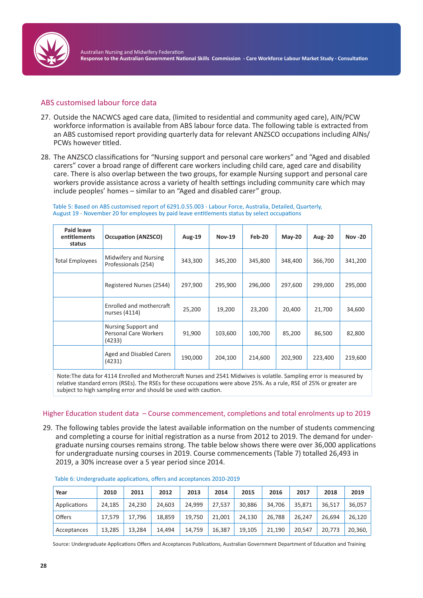

### ABS customised labour force data

- 27. Outside the NACWCS aged care data, (limited to residential and community aged care), AIN/PCW workforce information is available from ABS labour force data. The following table is extracted from an ABS customised report providing quarterly data for relevant ANZSCO occupations including AINs/ PCWs however titled.
- 28. The ANZSCO classifications for "Nursing support and personal care workers" and "Aged and disabled carers" cover a broad range of different care workers including child care, aged care and disability care. There is also overlap between the two groups, for example Nursing support and personal care workers provide assistance across a variety of health settings including community care which may include peoples' homes – similar to an "Aged and disabled carer" group.

#### Table 5: Based on ABS customised report of 6291.0.55.003 - Labour Force, Australia, Detailed, Quarterly, August 19 - November 20 for employees by paid leave entitlements status by select occupations

| <b>Paid leave</b><br>entitlements<br>status | <b>Occupation (ANZSCO)</b>                                                                                                                                                                      | <b>Aug-19</b> | <b>Nov-19</b> | Feb-20  | $May-20$ | Aug- 20 | <b>Nov-20</b> |
|---------------------------------------------|-------------------------------------------------------------------------------------------------------------------------------------------------------------------------------------------------|---------------|---------------|---------|----------|---------|---------------|
| <b>Total Employees</b>                      | Midwifery and Nursing<br>Professionals (254)                                                                                                                                                    | 343,300       | 345,200       | 345,800 | 348,400  | 366,700 | 341,200       |
|                                             | Registered Nurses (2544)                                                                                                                                                                        | 297,900       | 295,900       | 296,000 | 297,600  | 299,000 | 295,000       |
|                                             | Enrolled and mothercraft<br>nurses (4114)                                                                                                                                                       | 25,200        | 19,200        | 23,200  | 20,400   | 21,700  | 34,600        |
|                                             | Nursing Support and<br>Personal Care Workers<br>(4233)                                                                                                                                          | 91,900        | 103,600       | 100,700 | 85,200   | 86,500  | 82,800        |
|                                             | Aged and Disabled Carers<br>(4231)                                                                                                                                                              | 190,000       | 204,100       | 214,600 | 202,900  | 223,400 | 219,600       |
|                                             | $\mathbf{a} \cdot \mathbf{a} \cdot \mathbf{r} = \mathbf{a} \cdot \mathbf{a} \cdot \mathbf{a} \cdot \mathbf{a} \cdot \mathbf{r} = \mathbf{a} \cdot \mathbf{a} \cdot \mathbf{a} \cdot \mathbf{r}$ |               |               |         |          |         |               |

Note:The data for 4114 Enrolled and Mothercraft Nurses and 2541 Midwives is volatile. Sampling error is measured by relative standard errors (RSEs). The RSEs for these occupations were above 25%. As a rule, RSE of 25% or greater are subject to high sampling error and should be used with caution.

#### Higher Education student data – Course commencement, completions and total enrolments up to 2019

29. The following tables provide the latest available information on the number of students commencing and completing a course for initial registration as a nurse from 2012 to 2019. The demand for undergraduate nursing courses remains strong. The table below shows there were over 36,000 applications for undergraduate nursing courses in 2019. Course commencements (Table 7) totalled 26,493 in 2019, a 30% increase over a 5 year period since 2014.

| Year         | 2010   | 2011   | 2012   | 2013   | 2014   | 2015   | 2016   | 2017   | 2018   | 2019    |
|--------------|--------|--------|--------|--------|--------|--------|--------|--------|--------|---------|
| Applications | 24,185 | 24.230 | 24.603 | 24.999 | 27.537 | 30,886 | 34.706 | 35.871 | 36.517 | 36,057  |
| Offers       | 17.579 | 17.796 | 18.859 | 19.750 | 21.001 | 24.130 | 26.788 | 26.247 | 26.694 | 26,120  |
| Acceptances  | 13,285 | 13.284 | 14.494 | 14.759 | 16,387 | 19.105 | 21.190 | 20.547 | 20.773 | 20,360, |

|  | Table 6: Undergraduate applications, offers and acceptances 2010-2019 |
|--|-----------------------------------------------------------------------|
|--|-----------------------------------------------------------------------|

Source: Undergraduate Applications Offers and Acceptances Publications, Australian Government Department of Education and Training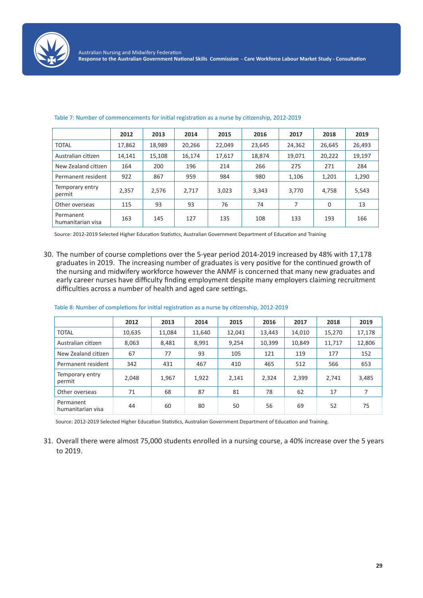

|                                | 2012   | 2013   | 2014   | 2015   | 2016   | 2017   | 2018   | 2019   |
|--------------------------------|--------|--------|--------|--------|--------|--------|--------|--------|
| <b>TOTAL</b>                   | 17,862 | 18,989 | 20,266 | 22.049 | 23,645 | 24,362 | 26,645 | 26,493 |
| Australian citizen             | 14,141 | 15.108 | 16,174 | 17,617 | 18,874 | 19,071 | 20,222 | 19,197 |
| New Zealand citizen            | 164    | 200    | 196    | 214    | 266    | 275    | 271    | 284    |
| Permanent resident             | 922    | 867    | 959    | 984    | 980    | 1,106  | 1,201  | 1,290  |
| Temporary entry<br>permit      | 2,357  | 2,576  | 2,717  | 3,023  | 3,343  | 3.770  | 4,758  | 5,543  |
| Other overseas                 | 115    | 93     | 93     | 76     | 74     | 7      | 0      | 13     |
| Permanent<br>humanitarian visa | 163    | 145    | 127    | 135    | 108    | 133    | 193    | 166    |

#### Table 7: Number of commencements for initial registration as a nurse by citizenship, 2012-2019

Source: 2012-2019 Selected Higher Education Statistics, Australian Government Department of Education and Training

30. The number of course completions over the 5-year period 2014-2019 increased by 48% with 17,178 graduates in 2019. The increasing number of graduates is very positive for the continued growth of the nursing and midwifery workforce however the ANMF is concerned that many new graduates and early career nurses have difficulty finding employment despite many employers claiming recruitment difficulties across a number of health and aged care settings.

|                                | 2012   | 2013   | 2014   | 2015   | 2016   | 2017   | 2018   | 2019   |
|--------------------------------|--------|--------|--------|--------|--------|--------|--------|--------|
| <b>TOTAL</b>                   | 10,635 | 11,084 | 11,640 | 12,041 | 13,443 | 14,010 | 15,270 | 17,178 |
| Australian citizen             | 8,063  | 8,481  | 8,991  | 9,254  | 10,399 | 10,849 | 11,717 | 12,806 |
| New Zealand citizen            | 67     | 77     | 93     | 105    | 121    | 119    | 177    | 152    |
| Permanent resident             | 342    | 431    | 467    | 410    | 465    | 512    | 566    | 653    |
| Temporary entry<br>permit      | 2,048  | 1,967  | 1,922  | 2,141  | 2,324  | 2,399  | 2.741  | 3,485  |
| Other overseas                 | 71     | 68     | 87     | 81     | 78     | 62     | 17     | 7      |
| Permanent<br>humanitarian visa | 44     | 60     | 80     | 50     | 56     | 69     | 52     | 75     |

#### Table 8: Number of completions for initial registration as a nurse by citizenship, 2012-2019

Source: 2012-2019 Selected Higher Education Statistics, Australian Government Department of Education and Training.

31. Overall there were almost 75,000 students enrolled in a nursing course, a 40% increase over the 5 years to 2019.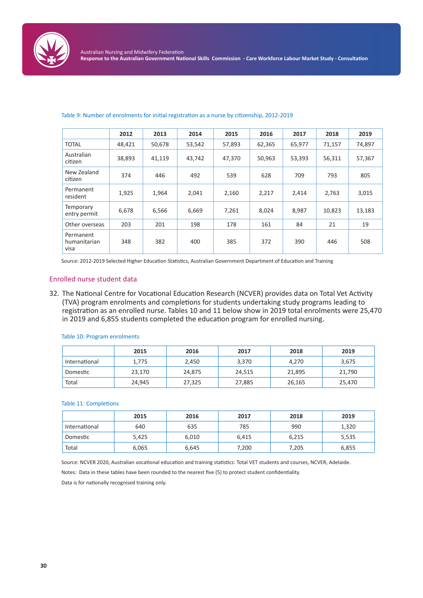

|                                   | 2012   | 2013   | 2014   | 2015   | 2016   | 2017   | 2018   | 2019   |
|-----------------------------------|--------|--------|--------|--------|--------|--------|--------|--------|
| <b>TOTAL</b>                      | 48,421 | 50,678 | 53,542 | 57,893 | 62,365 | 65,977 | 71,157 | 74,897 |
| Australian<br>citizen             | 38,893 | 41,119 | 43,742 | 47,370 | 50,963 | 53,393 | 56,311 | 57,367 |
| New Zealand<br>citizen            | 374    | 446    | 492    | 539    | 628    | 709    | 793    | 805    |
| Permanent<br>resident             | 1,925  | 1,964  | 2,041  | 2,160  | 2,217  | 2,414  | 2,763  | 3,015  |
| Temporary<br>entry permit         | 6,678  | 6,566  | 6,669  | 7,261  | 8,024  | 8,987  | 10,823 | 13,183 |
| Other overseas                    | 203    | 201    | 198    | 178    | 161    | 84     | 21     | 19     |
| Permanent<br>humanitarian<br>visa | 348    | 382    | 400    | 385    | 372    | 390    | 446    | 508    |

#### Table 9: Number of enrolments for initial registration as a nurse by citizenship, 2012-2019

Source: 2012-2019 Selected Higher Education Statistics, Australian Government Department of Education and Training

#### Enrolled nurse student data

32. The National Centre for Vocational Education Research (NCVER) provides data on Total Vet Activity (TVA) program enrolments and completions for students undertaking study programs leading to registration as an enrolled nurse. Tables 10 and 11 below show in 2019 total enrolments were 25,470 in 2019 and 6,855 students completed the education program for enrolled nursing.

|               | 2015   | 2016   | 2017   | 2018   | 2019   |
|---------------|--------|--------|--------|--------|--------|
| International | 1,775  | 2,450  | 3,370  | 4,270  | 3,675  |
| Domestic      | 23.170 | 24.875 | 24,515 | 21,895 | 21,790 |
| Total         | 24,945 | 27,325 | 27,885 | 26,165 | 25,470 |

#### Table 10: Program enrolments

Table 11: Completions

|               | 2015  | 2016  | 2017  | 2018  | 2019  |
|---------------|-------|-------|-------|-------|-------|
| International | 640   | 635   | 785   | 990   | 1,320 |
| Domestic      | 5,425 | 6,010 | 6,415 | 6,215 | 5,535 |
| Total         | 6,065 | 6,645 | 7,200 | 7,205 | 6,855 |

Source: NCVER 2020, Australian vocational education and training statistics: Total VET students and courses, NCVER, Adelaide.

Notes: Data in these tables have been rounded to the nearest five (5) to protect student confidentiality.

Data is for nationally recognised training only.